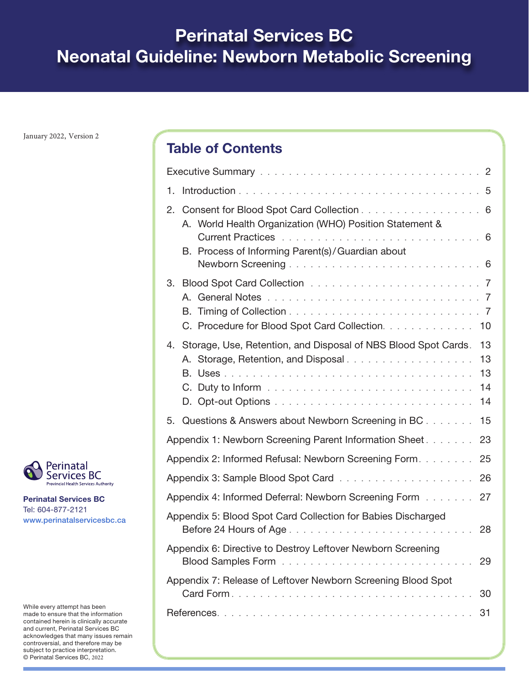# **Perinatal Services BC Neonatal Guideline: Newborn Metabolic Screening**

January 2022, Version 2

# Table of Contents

| 1.                                                                                                                                     |
|----------------------------------------------------------------------------------------------------------------------------------------|
| 2. Consent for Blood Spot Card Collection 6<br>A. World Health Organization (WHO) Position Statement &                                 |
| B. Process of Informing Parent(s)/Guardian about                                                                                       |
| C. Procedure for Blood Spot Card Collection. 10                                                                                        |
| 4. Storage, Use, Retention, and Disposal of NBS Blood Spot Cards.<br>13<br>A. Storage, Retention, and Disposal<br>13<br>13<br>14<br>14 |
| Questions & Answers about Newborn Screening in BC<br>5.<br>15                                                                          |
| Appendix 1: Newborn Screening Parent Information Sheet<br>23                                                                           |
| Appendix 2: Informed Refusal: Newborn Screening Form.<br>25                                                                            |
| 26                                                                                                                                     |
| Appendix 4: Informed Deferral: Newborn Screening Form<br>27                                                                            |
| Appendix 5: Blood Spot Card Collection for Babies Discharged<br>28                                                                     |
| Appendix 6: Directive to Destroy Leftover Newborn Screening<br>29                                                                      |
| Appendix 7: Release of Leftover Newborn Screening Blood Spot<br>30                                                                     |
| 31                                                                                                                                     |



Perinatal Services BC Tel: 604-877-2121 www.perinatalservicesbc.ca

While every attempt has been made to ensure that the information contained herein is clinically accurate and current, Perinatal Services BC acknowledges that many issues remain controversial, and therefore may be subject to practice interpretation. © Perinatal Services BC, 2022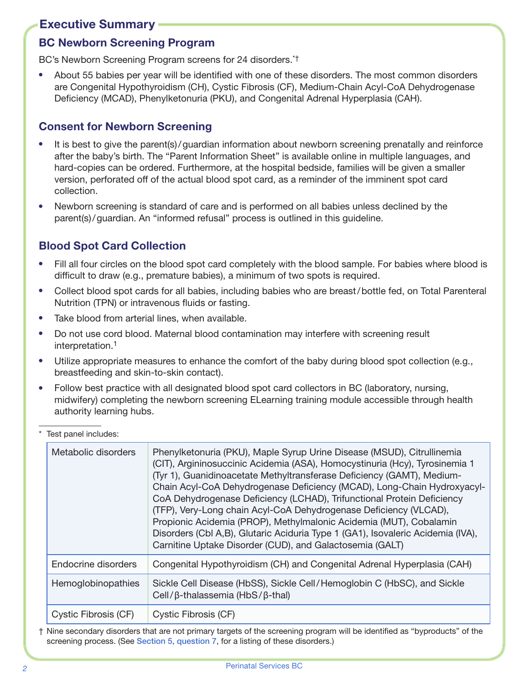## <span id="page-1-0"></span>Executive Summary

## BC Newborn Screening Program

BC's Newborn Screening Program screens for 24 disorders.\*†

About 55 babies per year will be identified with one of these disorders. The most common disorders are Congenital Hypothyroidism (CH), Cystic Fibrosis (CF), Medium-Chain Acyl-CoA Dehydrogenase Deficiency (MCAD), Phenylketonuria (PKU), and Congenital Adrenal Hyperplasia (CAH).

## Consent for Newborn Screening

- ⦁ It is best to give the parent(s)/guardian information about newborn screening prenatally and reinforce after the baby's birth. The "Parent Information Sheet" is available online in multiple languages, and hard-copies can be ordered. Furthermore, at the hospital bedside, families will be given a smaller version, perforated off of the actual blood spot card, as a reminder of the imminent spot card collection.
- ⦁ Newborn screening is standard of care and is performed on all babies unless declined by the parent(s)/guardian. An "informed refusal" process is outlined in this guideline.

# Blood Spot Card Collection

- ⦁ Fill all four circles on the blood spot card completely with the blood sample. For babies where blood is difficult to draw (e.g., premature babies), a minimum of two spots is required.
- ⦁ Collect blood spot cards for all babies, including babies who are breast/bottle fed, on Total Parenteral Nutrition (TPN) or intravenous fluids or fasting.
- ⦁ Take blood from arterial lines, when available.
- ⦁ Do not use cord blood. Maternal blood contamination may interfere with screening result interpretation[.1](#page-30-1)
- ⦁ Utilize appropriate measures to enhance the comfort of the baby during blood spot collection (e.g., breastfeeding and skin-to-skin contact).
- Follow best practice with all designated blood spot card collectors in BC (laboratory, nursing, midwifery) completing the newborn screening ELearning training module accessible through health authority learning hubs.

| Metabolic disorders       | Phenylketonuria (PKU), Maple Syrup Urine Disease (MSUD), Citrullinemia<br>(CIT), Argininosuccinic Acidemia (ASA), Homocystinuria (Hcy), Tyrosinemia 1<br>(Tyr 1), Guanidinoacetate Methyltransferase Deficiency (GAMT), Medium-<br>Chain Acyl-CoA Dehydrogenase Deficiency (MCAD), Long-Chain Hydroxyacyl-<br>CoA Dehydrogenase Deficiency (LCHAD), Trifunctional Protein Deficiency<br>(TFP), Very-Long chain Acyl-CoA Dehydrogenase Deficiency (VLCAD),<br>Propionic Acidemia (PROP), Methylmalonic Acidemia (MUT), Cobalamin<br>Disorders (Cbl A,B), Glutaric Aciduria Type 1 (GA1), Isovaleric Acidemia (IVA),<br>Carnitine Uptake Disorder (CUD), and Galactosemia (GALT) |
|---------------------------|--------------------------------------------------------------------------------------------------------------------------------------------------------------------------------------------------------------------------------------------------------------------------------------------------------------------------------------------------------------------------------------------------------------------------------------------------------------------------------------------------------------------------------------------------------------------------------------------------------------------------------------------------------------------------------|
| Endocrine disorders       | Congenital Hypothyroidism (CH) and Congenital Adrenal Hyperplasia (CAH)                                                                                                                                                                                                                                                                                                                                                                                                                                                                                                                                                                                                        |
| <b>Hemoglobinopathies</b> | Sickle Cell Disease (HbSS), Sickle Cell/Hemoglobin C (HbSC), and Sickle<br>Cell/β-thalassemia (HbS/β-thal)                                                                                                                                                                                                                                                                                                                                                                                                                                                                                                                                                                     |
| Cystic Fibrosis (CF)      | Cystic Fibrosis (CF)                                                                                                                                                                                                                                                                                                                                                                                                                                                                                                                                                                                                                                                           |

Test panel includes:

† Nine secondary disorders that are not primary targets of the screening program will be identified as "byproducts" of the screening process. (See [Section 5, question 7](#page-16-0), for a listing of these disorders.)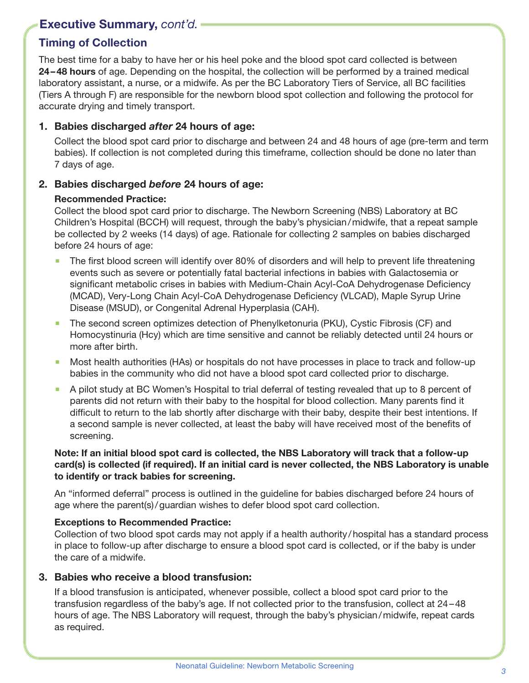## Executive Summary, *cont'd.*

## Timing of Collection

The best time for a baby to have her or his heel poke and the blood spot card collected is between 24–48 hours of age. Depending on the hospital, the collection will be performed by a trained medical laboratory assistant, a nurse, or a midwife. As per the BC Laboratory Tiers of Service, all BC facilities (Tiers A through F) are responsible for the newborn blood spot collection and following the protocol for accurate drying and timely transport.

#### 1. Babies discharged *after* 24 hours of age:

Collect the blood spot card prior to discharge and between 24 and 48 hours of age (pre-term and term babies). If collection is not completed during this timeframe, collection should be done no later than 7 days of age.

#### 2. Babies discharged *before* 24 hours of age:

#### Recommended Practice:

Collect the blood spot card prior to discharge. The Newborn Screening (NBS) Laboratory at BC Children's Hospital (BCCH) will request, through the baby's physician/midwife, that a repeat sample be collected by 2 weeks (14 days) of age. Rationale for collecting 2 samples on babies discharged before 24 hours of age:

- The first blood screen will identify over 80% of disorders and will help to prevent life threatening events such as severe or potentially fatal bacterial infections in babies with Galactosemia or significant metabolic crises in babies with Medium-Chain Acyl-CoA Dehydrogenase Deficiency (MCAD), Very-Long Chain Acyl-CoA Dehydrogenase Deficiency (VLCAD), Maple Syrup Urine Disease (MSUD), or Congenital Adrenal Hyperplasia (CAH).
- The second screen optimizes detection of Phenylketonuria (PKU), Cystic Fibrosis (CF) and Homocystinuria (Hcy) which are time sensitive and cannot be reliably detected until 24 hours or more after birth.
- Most health authorities (HAs) or hospitals do not have processes in place to track and follow-up babies in the community who did not have a blood spot card collected prior to discharge.
- A pilot study at BC Women's Hospital to trial deferral of testing revealed that up to 8 percent of parents did not return with their baby to the hospital for blood collection. Many parents find it difficult to return to the lab shortly after discharge with their baby, despite their best intentions. If a second sample is never collected, at least the baby will have received most of the benefits of screening.

#### Note: If an initial blood spot card is collected, the NBS Laboratory will track that a follow-up card(s) is collected (if required). If an initial card is never collected, the NBS Laboratory is unable to identify or track babies for screening.

An "informed deferral" process is outlined in the guideline for babies discharged before 24 hours of age where the parent(s)/guardian wishes to defer blood spot card collection.

#### Exceptions to Recommended Practice:

Collection of two blood spot cards may not apply if a health authority/hospital has a standard process in place to follow-up after discharge to ensure a blood spot card is collected, or if the baby is under the care of a midwife.

#### 3. Babies who receive a blood transfusion:

If a blood transfusion is anticipated, whenever possible, collect a blood spot card prior to the transfusion regardless of the baby's age. If not collected prior to the transfusion, collect at 24–48 hours of age. The NBS Laboratory will request, through the baby's physician/midwife, repeat cards as required.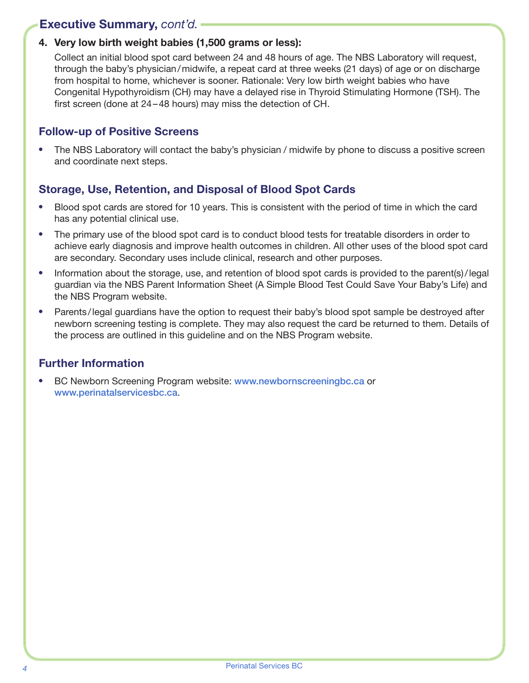## Executive Summary, *cont'd.*

## 4. Very low birth weight babies (1,500 grams or less):

Collect an initial blood spot card between 24 and 48 hours of age. The NBS Laboratory will request, through the baby's physician/midwife, a repeat card at three weeks (21 days) of age or on discharge from hospital to home, whichever is sooner. Rationale: Very low birth weight babies who have Congenital Hypothyroidism (CH) may have a delayed rise in Thyroid Stimulating Hormone (TSH). The first screen (done at 24–48 hours) may miss the detection of CH.

## Follow-up of Positive Screens

⦁ The NBS Laboratory will contact the baby's physician / midwife by phone to discuss a positive screen and coordinate next steps.

## Storage, Use, Retention, and Disposal of Blood Spot Cards

- ⦁ Blood spot cards are stored for 10 years. This is consistent with the period of time in which the card has any potential clinical use.
- ⦁ The primary use of the blood spot card is to conduct blood tests for treatable disorders in order to achieve early diagnosis and improve health outcomes in children. All other uses of the blood spot card are secondary. Secondary uses include clinical, research and other purposes.
- Information about the storage, use, and retention of blood spot cards is provided to the parent(s)/legal guardian via the NBS Parent Information Sheet (A Simple Blood Test Could Save Your Baby's Life) and the NBS Program website.
- Parents/legal guardians have the option to request their baby's blood spot sample be destroyed after newborn screening testing is complete. They may also request the card be returned to them. Details of the process are outlined in this guideline and on the NBS Program website.

## Further Information

● BC Newborn Screening Program website: [www.newbornscreeningbc.ca](http://www.newbornscreeningbc.ca) or [www.perinatalservicesbc.ca](http://www.perinatalservicesbc.ca).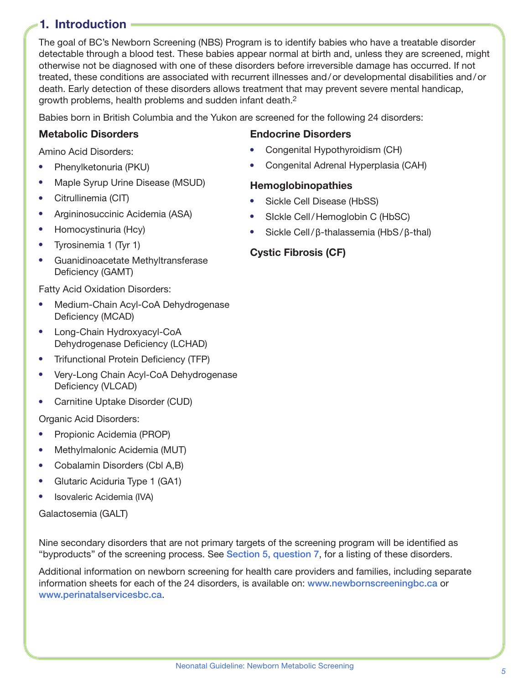## <span id="page-4-0"></span>1. Introduction

The goal of BC's Newborn Screening (NBS) Program is to identify babies who have a treatable disorder detectable through a blood test. These babies appear normal at birth and, unless they are screened, might otherwise not be diagnosed with one of these disorders before irreversible damage has occurred. If not treated, these conditions are associated with recurrent illnesses and/or developmental disabilities and/or death. Early detection of these disorders allows treatment that may prevent severe mental handicap, growth problems, health problems and sudden infant death[.2](#page-30-2)

Babies born in British Columbia and the Yukon are screened for the following 24 disorders:

#### Metabolic Disorders

Amino Acid Disorders:

- ⦁ Phenylketonuria (PKU)
- ⦁ Maple Syrup Urine Disease (MSUD)
- ⦁ Citrullinemia (CIT)
- ⦁ Argininosuccinic Acidemia (ASA)
- ⦁ Homocystinuria (Hcy)
- ⦁ Tyrosinemia 1 (Tyr 1)
- ⦁ Guanidinoacetate Methyltransferase Deficiency (GAMT)

Fatty Acid Oxidation Disorders:

- ⦁ Medium-Chain Acyl-CoA Dehydrogenase Deficiency (MCAD)
- ⦁ Long-Chain Hydroxyacyl-CoA Dehydrogenase Deficiency (LCHAD)
- ⦁ Trifunctional Protein Deficiency (TFP)
- ⦁ Very-Long Chain Acyl-CoA Dehydrogenase Deficiency (VLCAD)
- ⦁ Carnitine Uptake Disorder (CUD)

Organic Acid Disorders:

- ⦁ Propionic Acidemia (PROP)
- ⦁ Methylmalonic Acidemia (MUT)
- ⦁ Cobalamin Disorders (Cbl A,B)
- ⦁ Glutaric Aciduria Type 1 (GA1)
- ⦁ Isovaleric Acidemia (IVA)

Galactosemia (GALT)

Nine secondary disorders that are not primary targets of the screening program will be identified as "byproducts" of the screening process. See [Section 5, question 7](#page-16-0), for a listing of these disorders.

Additional information on newborn screening for health care providers and families, including separate information sheets for each of the 24 disorders, is available on: [www.newbornscreeningbc.ca](http://www.newbornscreeningbc.ca) or [www.perinatalservicesbc.ca](http://www.perinatalservicesbc.ca).

### Endocrine Disorders

- ⦁ Congenital Hypothyroidism (CH)
- ⦁ Congenital Adrenal Hyperplasia (CAH)

#### **Hemoglobinopathies**

- ⦁ Sickle Cell Disease (HbSS)
- ⦁ SIckle Cell/Hemoglobin C (HbSC)
- ⦁ Sickle Cell/β-thalassemia (HbS/β-thal)

## Cystic Fibrosis (CF)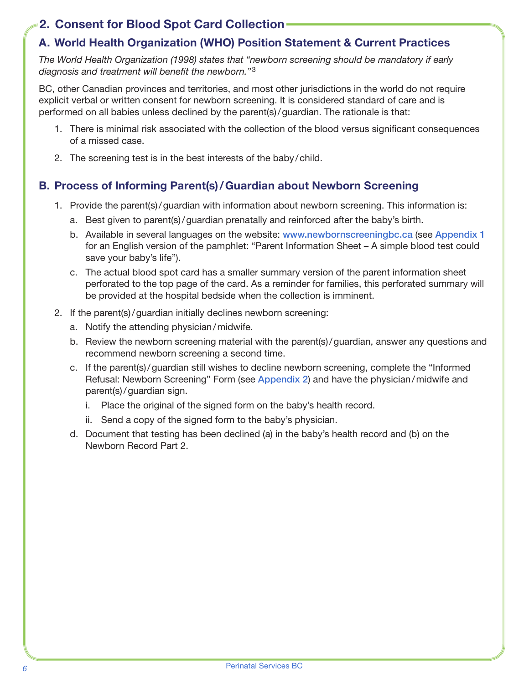## <span id="page-5-0"></span>2. Consent for Blood Spot Card Collection

## A. World Health Organization (WHO) Position Statement & Current Practices

*The World Health Organization (1998) states that "newborn screening should be mandatory if early diagnosis and treatment will benefit the newborn."*[3](#page-30-3)

BC, other Canadian provinces and territories, and most other jurisdictions in the world do not require explicit verbal or written consent for newborn screening. It is considered standard of care and is performed on all babies unless declined by the parent(s)/guardian. The rationale is that:

- 1. There is minimal risk associated with the collection of the blood versus significant consequences of a missed case.
- 2. The screening test is in the best interests of the baby/child.

## B. Process of Informing Parent(s)/Guardian about Newborn Screening

- 1. Provide the parent(s)/guardian with information about newborn screening. This information is:
	- a. Best given to parent(s)/guardian prenatally and reinforced after the baby's birth.
	- b. Available in several languages on the website: [www.newbornscreeningbc.ca](http://www.newbornscreeningbc.ca) (see [Appendix 1](#page-27-1)) for an English version of the pamphlet: "Parent Information Sheet – A simple blood test could save your baby's life").
	- c. The actual blood spot card has a smaller summary version of the parent information sheet perforated to the top page of the card. As a reminder for families, this perforated summary will be provided at the hospital bedside when the collection is imminent.
- 2. If the parent(s)/guardian initially declines newborn screening:
	- a. Notify the attending physician/midwife.
	- b. Review the newborn screening material with the parent(s)/guardian, answer any questions and recommend newborn screening a second time.
	- c. If the parent(s)/guardian still wishes to decline newborn screening, complete the "Informed Refusal: Newborn Screening" Form (see [Appendix 2](#page-24-1)) and have the physician/midwife and parent(s)/guardian sign.
		- i. Place the original of the signed form on the baby's health record.
		- ii. Send a copy of the signed form to the baby's physician.
	- d. Document that testing has been declined (a) in the baby's health record and (b) on the Newborn Record Part 2.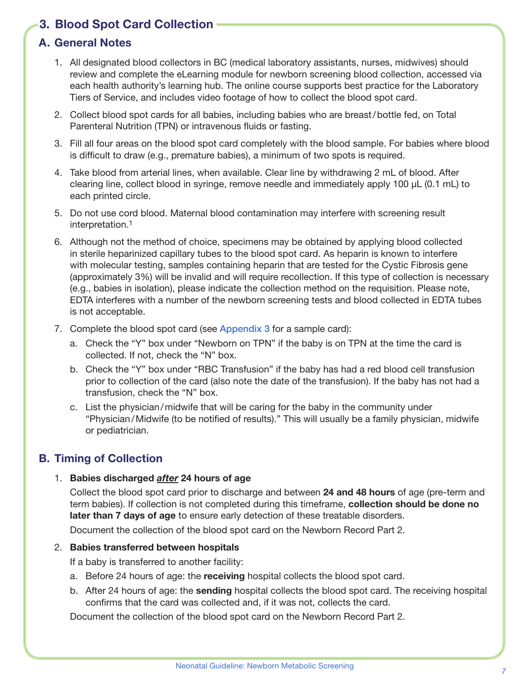## <span id="page-6-0"></span>3. Blood Spot Card Collection

## A. General Notes

- 1. All designated blood collectors in BC (medical laboratory assistants, nurses, midwives) should review and complete the eLearning module for newborn screening blood collection, accessed via each health authority's learning hub. The online course supports best practice for the Laboratory Tiers of Service, and includes video footage of how to collect the blood spot card.
- 2. Collect blood spot cards for all babies, including babies who are breast/bottle fed, on Total Parenteral Nutrition (TPN) or intravenous fluids or fasting.
- 3. Fill all four areas on the blood spot card completely with the blood sample. For babies where blood is difficult to draw (e.g., premature babies), a minimum of two spots is required.
- 4. Take blood from arterial lines, when available. Clear line by withdrawing 2 mL of blood. After clearing line, collect blood in syringe, remove needle and immediately apply 100 µL (0.1 mL) to each printed circle.
- 5. Do not use cord blood. Maternal blood contamination may interfere with screening result interpretation[.1](#page-30-1)
- 6. Although not the method of choice, specimens may be obtained by applying blood collected in sterile heparinized capillary tubes to the blood spot card. As heparin is known to interfere with molecular testing, samples containing heparin that are tested for the Cystic Fibrosis gene (approximately 3%) will be invalid and will require recollection. If this type of collection is necessary (e.g., babies in isolation), please indicate the collection method on the requisition. Please note, EDTA interferes with a number of the newborn screening tests and blood collected in EDTA tubes is not acceptable.
- 7. Complete the blood spot card (see [Appendix 3](#page-25-1) for a sample card):
	- a. Check the "Y" box under "Newborn on TPN" if the baby is on TPN at the time the card is collected. If not, check the "N" box.
	- b. Check the "Y" box under "RBC Transfusion" if the baby has had a red blood cell transfusion prior to collection of the card (also note the date of the transfusion). If the baby has not had a transfusion, check the "N" box.
	- c. List the physician/midwife that will be caring for the baby in the community under "Physician/Midwife (to be notified of results)." This will usually be a family physician, midwife or pediatrician.

#### B. Timing of Collection

#### 1. Babies discharged *after* 24 hours of age

Collect the blood spot card prior to discharge and between 24 and 48 hours of age (pre-term and term babies). If collection is not completed during this timeframe, collection should be done no later than 7 days of age to ensure early detection of these treatable disorders.

Document the collection of the blood spot card on the Newborn Record Part 2.

#### 2. Babies transferred between hospitals

If a baby is transferred to another facility:

- a. Before 24 hours of age: the receiving hospital collects the blood spot card.
- b. After 24 hours of age: the **sending** hospital collects the blood spot card. The receiving hospital confirms that the card was collected and, if it was not, collects the card.

Document the collection of the blood spot card on the Newborn Record Part 2.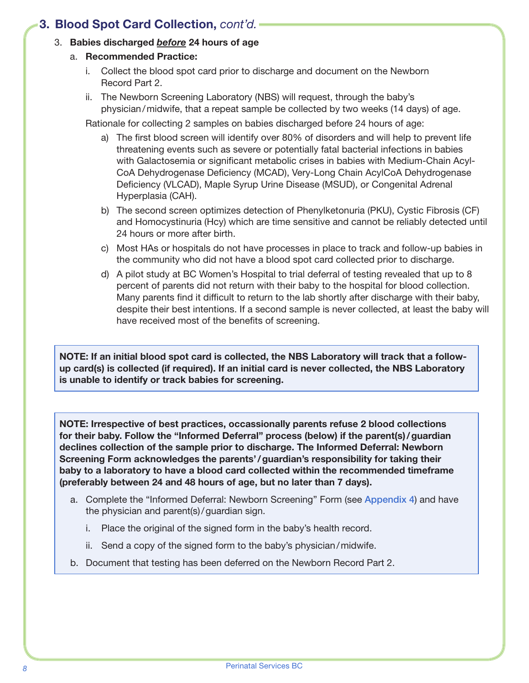## 3. Babies discharged *before* 24 hours of age

- a. Recommended Practice:
	- i. Collect the blood spot card prior to discharge and document on the Newborn Record Part 2.
	- ii. The Newborn Screening Laboratory (NBS) will request, through the baby's physician/midwife, that a repeat sample be collected by two weeks (14 days) of age.

Rationale for collecting 2 samples on babies discharged before 24 hours of age:

- a) The first blood screen will identify over 80% of disorders and will help to prevent life threatening events such as severe or potentially fatal bacterial infections in babies with Galactosemia or significant metabolic crises in babies with Medium-Chain Acyl-CoA Dehydrogenase Deficiency (MCAD), Very-Long Chain AcylCoA Dehydrogenase Deficiency (VLCAD), Maple Syrup Urine Disease (MSUD), or Congenital Adrenal Hyperplasia (CAH).
- b) The second screen optimizes detection of Phenylketonuria (PKU), Cystic Fibrosis (CF) and Homocystinuria (Hcy) which are time sensitive and cannot be reliably detected until 24 hours or more after birth.
- c) Most HAs or hospitals do not have processes in place to track and follow-up babies in the community who did not have a blood spot card collected prior to discharge.
- d) A pilot study at BC Women's Hospital to trial deferral of testing revealed that up to 8 percent of parents did not return with their baby to the hospital for blood collection. Many parents find it difficult to return to the lab shortly after discharge with their baby, despite their best intentions. If a second sample is never collected, at least the baby will have received most of the benefits of screening.

NOTE: If an initial blood spot card is collected, the NBS Laboratory will track that a followup card(s) is collected (if required). If an initial card is never collected, the NBS Laboratory is unable to identify or track babies for screening.

NOTE: Irrespective of best practices, occassionally parents refuse 2 blood collections for their baby. Follow the "Informed Deferral" process (below) if the parent(s)/guardian declines collection of the sample prior to discharge. The Informed Deferral: Newborn Screening Form acknowledges the parents'/guardian's responsibility for taking their baby to a laboratory to have a blood card collected within the recommended timeframe (preferably between 24 and 48 hours of age, but no later than 7 days).

- a. Complete the "Informed Deferral: Newborn Screening" Form (see [Appendix 4](#page-26-1)) and have the physician and parent(s)/guardian sign.
	- i. Place the original of the signed form in the baby's health record.
	- ii. Send a copy of the signed form to the baby's physician/midwife.
- b. Document that testing has been deferred on the Newborn Record Part 2.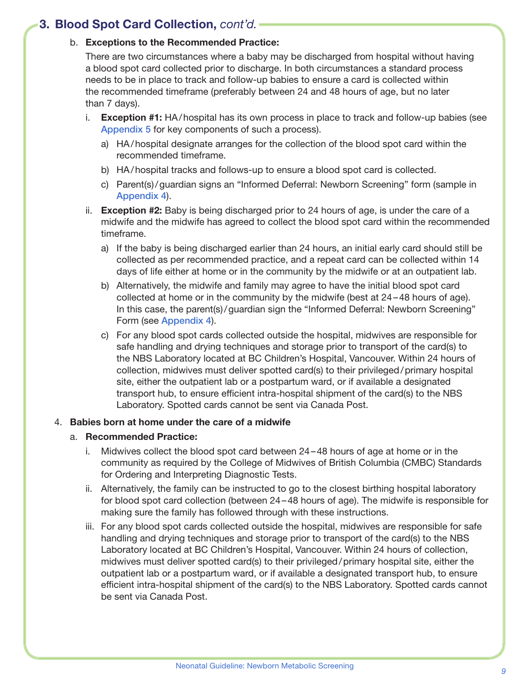#### b. Exceptions to the Recommended Practice:

There are two circumstances where a baby may be discharged from hospital without having a blood spot card collected prior to discharge. In both circumstances a standard process needs to be in place to track and follow-up babies to ensure a card is collected within the recommended timeframe (preferably between 24 and 48 hours of age, but no later than 7 days).

- i. Exception #1: HA/hospital has its own process in place to track and follow-up babies (see [Appendix 5](#page-27-1) for key components of such a process).
	- a) HA/hospital designate arranges for the collection of the blood spot card within the recommended timeframe.
	- b) HA/hospital tracks and follows-up to ensure a blood spot card is collected.
	- c) Parent(s)/guardian signs an "Informed Deferral: Newborn Screening" form (sample in [Appendix 4](#page-26-1)).
- ii. Exception #2: Baby is being discharged prior to 24 hours of age, is under the care of a midwife and the midwife has agreed to collect the blood spot card within the recommended timeframe.
	- a) If the baby is being discharged earlier than 24 hours, an initial early card should still be collected as per recommended practice, and a repeat card can be collected within 14 days of life either at home or in the community by the midwife or at an outpatient lab.
	- b) Alternatively, the midwife and family may agree to have the initial blood spot card collected at home or in the community by the midwife (best at 24–48 hours of age). In this case, the parent(s)/guardian sign the "Informed Deferral: Newborn Screening" Form (see [Appendix 4](#page-26-1)).
	- c) For any blood spot cards collected outside the hospital, midwives are responsible for safe handling and drying techniques and storage prior to transport of the card(s) to the NBS Laboratory located at BC Children's Hospital, Vancouver. Within 24 hours of collection, midwives must deliver spotted card(s) to their privileged/primary hospital site, either the outpatient lab or a postpartum ward, or if available a designated transport hub, to ensure efficient intra-hospital shipment of the card(s) to the NBS Laboratory. Spotted cards cannot be sent via Canada Post.

#### 4. Babies born at home under the care of a midwife

#### a. Recommended Practice:

- i. Midwives collect the blood spot card between 24–48 hours of age at home or in the community as required by the College of Midwives of British Columbia (CMBC) Standards for Ordering and Interpreting Diagnostic Tests.
- ii. Alternatively, the family can be instructed to go to the closest birthing hospital laboratory for blood spot card collection (between 24–48 hours of age). The midwife is responsible for making sure the family has followed through with these instructions.
- iii. For any blood spot cards collected outside the hospital, midwives are responsible for safe handling and drying techniques and storage prior to transport of the card(s) to the NBS Laboratory located at BC Children's Hospital, Vancouver. Within 24 hours of collection, midwives must deliver spotted card(s) to their privileged/primary hospital site, either the outpatient lab or a postpartum ward, or if available a designated transport hub, to ensure efficient intra-hospital shipment of the card(s) to the NBS Laboratory. Spotted cards cannot be sent via Canada Post.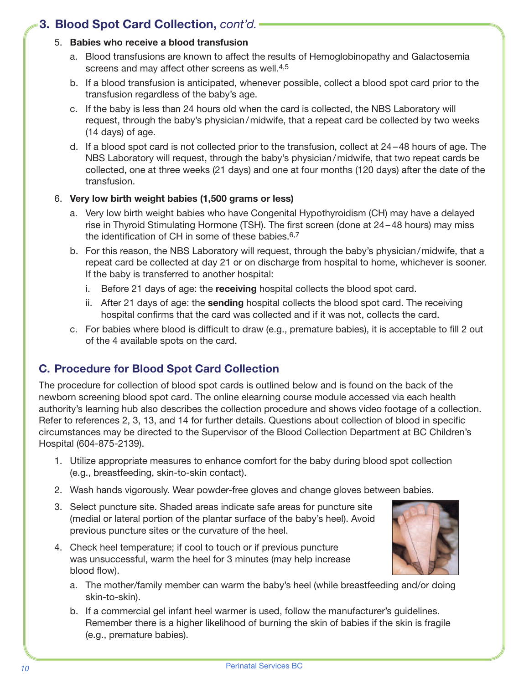## <span id="page-9-0"></span>5. Babies who receive a blood transfusion

- a. Blood transfusions are known to affect the results of Hemoglobinopathy and Galactosemia screens and may affect other screens as well.<sup>[4](#page-30-4),[5](#page-30-5)</sup>
- b. If a blood transfusion is anticipated, whenever possible, collect a blood spot card prior to the transfusion regardless of the baby's age.
- c. If the baby is less than 24 hours old when the card is collected, the NBS Laboratory will request, through the baby's physician/midwife, that a repeat card be collected by two weeks (14 days) of age.
- d. If a blood spot card is not collected prior to the transfusion, collect at 24–48 hours of age. The NBS Laboratory will request, through the baby's physician/midwife, that two repeat cards be collected, one at three weeks (21 days) and one at four months (120 days) after the date of the transfusion.

## 6. Very low birth weight babies (1,500 grams or less)

- a. Very low birth weight babies who have Congenital Hypothyroidism (CH) may have a delayed rise in Thyroid Stimulating Hormone (TSH). The first screen (done at 24–48 hours) may miss the identification of CH in some of these babies[.6,](#page-30-6)[7](#page-30-7)
- b. For this reason, the NBS Laboratory will request, through the baby's physician/midwife, that a repeat card be collected at day 21 or on discharge from hospital to home, whichever is sooner. If the baby is transferred to another hospital:
	- i. Before 21 days of age: the receiving hospital collects the blood spot card.
	- ii. After 21 days of age: the sending hospital collects the blood spot card. The receiving hospital confirms that the card was collected and if it was not, collects the card.
- c. For babies where blood is difficult to draw (e.g., premature babies), it is acceptable to fill 2 out of the 4 available spots on the card.

# C. Procedure for Blood Spot Card Collection

The procedure for collection of blood spot cards is outlined below and is found on the back of the newborn screening blood spot card. The online elearning course module accessed via each health authority's learning hub also describes the collection procedure and shows video footage of a collection. Refer to references 2, 3, 13, and 14 for further details. Questions about collection of blood in specific circumstances may be directed to the Supervisor of the Blood Collection Department at BC Children's Hospital (604-875-2139).

- 1. Utilize appropriate measures to enhance comfort for the baby during blood spot collection (e.g., breastfeeding, skin-to-skin contact).
- 2. Wash hands vigorously. Wear powder-free gloves and change gloves between babies.
- 3. Select puncture site. Shaded areas indicate safe areas for puncture site (medial or lateral portion of the plantar surface of the baby's heel). Avoid previous puncture sites or the curvature of the heel.
- 4. Check heel temperature; if cool to touch or if previous puncture was unsuccessful, warm the heel for 3 minutes (may help increase blood flow).



- a. The mother/family member can warm the baby's heel (while breastfeeding and/or doing skin-to-skin).
- b. If a commercial gel infant heel warmer is used, follow the manufacturer's guidelines. Remember there is a higher likelihood of burning the skin of babies if the skin is fragile (e.g., premature babies).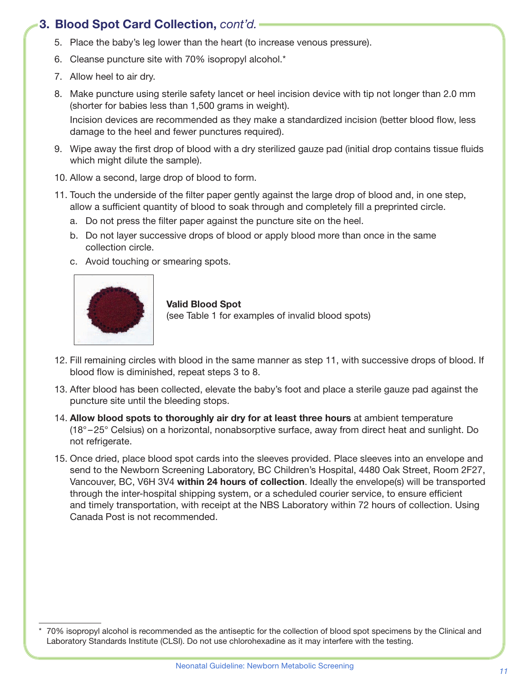- 5. Place the baby's leg lower than the heart (to increase venous pressure).
- 6. Cleanse puncture site with 70% isopropyl alcohol.\*
- 7. Allow heel to air dry.
- 8. Make puncture using sterile safety lancet or heel incision device with tip not longer than 2.0 mm (shorter for babies less than 1,500 grams in weight).

Incision devices are recommended as they make a standardized incision (better blood flow, less damage to the heel and fewer punctures required).

- 9. Wipe away the first drop of blood with a dry sterilized gauze pad (initial drop contains tissue fluids which might dilute the sample).
- 10. Allow a second, large drop of blood to form.
- 11. Touch the underside of the filter paper gently against the large drop of blood and, in one step, allow a sufficient quantity of blood to soak through and completely fill a preprinted circle.
	- a. Do not press the filter paper against the puncture site on the heel.
	- b. Do not layer successive drops of blood or apply blood more than once in the same collection circle.
	- c. Avoid touching or smearing spots.



#### Valid Blood Spot

(see Table 1 for examples of invalid blood spots)

- 12. Fill remaining circles with blood in the same manner as step 11, with successive drops of blood. If blood flow is diminished, repeat steps 3 to 8.
- 13. After blood has been collected, elevate the baby's foot and place a sterile gauze pad against the puncture site until the bleeding stops.
- 14. Allow blood spots to thoroughly air dry for at least three hours at ambient temperature (18° –25° Celsius) on a horizontal, nonabsorptive surface, away from direct heat and sunlight. Do not refrigerate.
- 15. Once dried, place blood spot cards into the sleeves provided. Place sleeves into an envelope and send to the Newborn Screening Laboratory, BC Children's Hospital, 4480 Oak Street, Room 2F27, Vancouver, BC, V6H 3V4 within 24 hours of collection. Ideally the envelope(s) will be transported through the inter-hospital shipping system, or a scheduled courier service, to ensure efficient and timely transportation, with receipt at the NBS Laboratory within 72 hours of collection. Using Canada Post is not recommended.

<sup>70%</sup> isopropyl alcohol is recommended as the antiseptic for the collection of blood spot specimens by the Clinical and Laboratory Standards Institute (CLSI). Do not use chlorohexadine as it may interfere with the testing.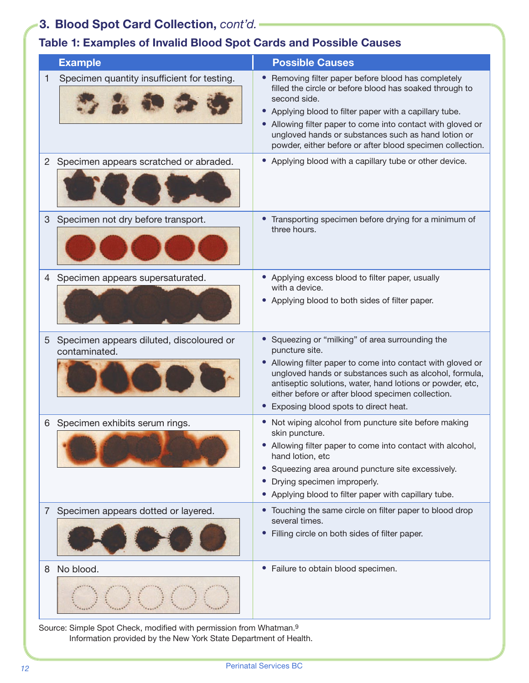# Table 1: Examples of Invalid Blood Spot Cards and Possible Causes

|                | <b>Example</b>                                            | <b>Possible Causes</b>                                                                                                                                                                                                                                                                                                                                                              |
|----------------|-----------------------------------------------------------|-------------------------------------------------------------------------------------------------------------------------------------------------------------------------------------------------------------------------------------------------------------------------------------------------------------------------------------------------------------------------------------|
| 1              | Specimen quantity insufficient for testing.               | Removing filter paper before blood has completely<br>filled the circle or before blood has soaked through to<br>second side.<br>Applying blood to filter paper with a capillary tube.<br>$\bullet$<br>Allowing filter paper to come into contact with gloved or<br>ungloved hands or substances such as hand lotion or<br>powder, either before or after blood specimen collection. |
| $\overline{2}$ | Specimen appears scratched or abraded.                    | • Applying blood with a capillary tube or other device.                                                                                                                                                                                                                                                                                                                             |
| 3              | Specimen not dry before transport.                        | Transporting specimen before drying for a minimum of<br>three hours.                                                                                                                                                                                                                                                                                                                |
| 4              | Specimen appears supersaturated.                          | • Applying excess blood to filter paper, usually<br>with a device.<br>• Applying blood to both sides of filter paper.                                                                                                                                                                                                                                                               |
| 5              | Specimen appears diluted, discoloured or<br>contaminated. | • Squeezing or "milking" of area surrounding the<br>puncture site.<br>Allowing filter paper to come into contact with gloved or<br>ungloved hands or substances such as alcohol, formula,<br>antiseptic solutions, water, hand lotions or powder, etc,<br>either before or after blood specimen collection.<br>Exposing blood spots to direct heat.                                 |
| 6              | Specimen exhibits serum rings.                            | Not wiping alcohol from puncture site before making<br>skin puncture.<br>• Allowing filter paper to come into contact with alcohol,<br>hand lotion, etc<br>Squeezing area around puncture site excessively.<br>Drying specimen improperly.<br>Applying blood to filter paper with capillary tube.                                                                                   |
| $\overline{7}$ | Specimen appears dotted or layered.                       | • Touching the same circle on filter paper to blood drop<br>several times.<br>Filling circle on both sides of filter paper.                                                                                                                                                                                                                                                         |
| 8              | No blood.                                                 | Failure to obtain blood specimen.                                                                                                                                                                                                                                                                                                                                                   |

Source: Simple Spot Check, modified with permission from Whatman.[9](#page-30-8) Information provided by the New York State Department of Health.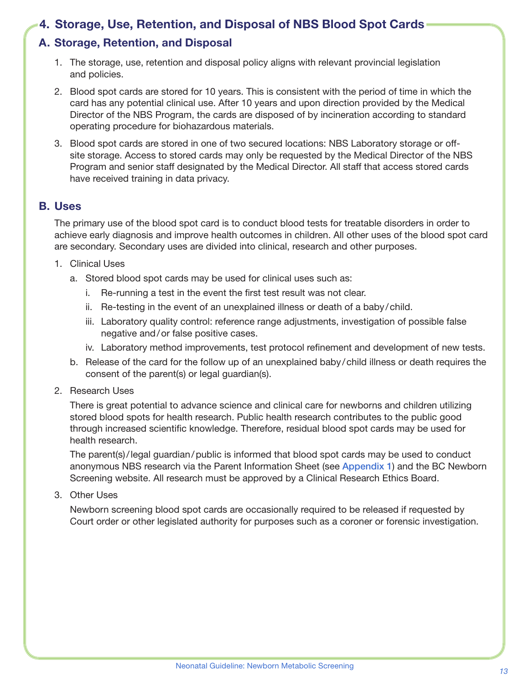## <span id="page-12-0"></span>4. Storage, Use, Retention, and Disposal of NBS Blood Spot Cards

## A. Storage, Retention, and Disposal

- 1. The storage, use, retention and disposal policy aligns with relevant provincial legislation and policies.
- 2. Blood spot cards are stored for 10 years. This is consistent with the period of time in which the card has any potential clinical use. After 10 years and upon direction provided by the Medical Director of the NBS Program, the cards are disposed of by incineration according to standard operating procedure for biohazardous materials.
- 3. Blood spot cards are stored in one of two secured locations: NBS Laboratory storage or offsite storage. Access to stored cards may only be requested by the Medical Director of the NBS Program and senior staff designated by the Medical Director. All staff that access stored cards have received training in data privacy.

#### B. Uses

The primary use of the blood spot card is to conduct blood tests for treatable disorders in order to achieve early diagnosis and improve health outcomes in children. All other uses of the blood spot card are secondary. Secondary uses are divided into clinical, research and other purposes.

- 1. Clinical Uses
	- a. Stored blood spot cards may be used for clinical uses such as:
		- i. Re-running a test in the event the first test result was not clear.
		- ii. Re-testing in the event of an unexplained illness or death of a baby/child.
		- iii. Laboratory quality control: reference range adjustments, investigation of possible false negative and/or false positive cases.
		- iv. Laboratory method improvements, test protocol refinement and development of new tests.
	- b. Release of the card for the follow up of an unexplained baby /child illness or death requires the consent of the parent(s) or legal guardian(s).
- 2. Research Uses

There is great potential to advance science and clinical care for newborns and children utilizing stored blood spots for health research. Public health research contributes to the public good through increased scientific knowledge. Therefore, residual blood spot cards may be used for health research.

The parent(s)/legal guardian/public is informed that blood spot cards may be used to conduct anonymous NBS research via the Parent Information Sheet (see [Appendix 1](#page-27-1)) and the BC Newborn Screening website. All research must be approved by a Clinical Research Ethics Board.

3. Other Uses

Newborn screening blood spot cards are occasionally required to be released if requested by Court order or other legislated authority for purposes such as a coroner or forensic investigation.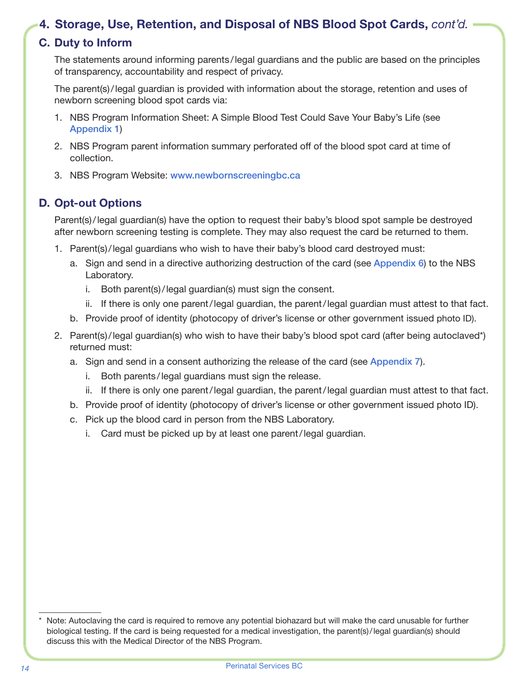## <span id="page-13-0"></span>4. Storage, Use, Retention, and Disposal of NBS Blood Spot Cards, *cont'd.*

## C. Duty to Inform

The statements around informing parents /legal guardians and the public are based on the principles of transparency, accountability and respect of privacy.

The parent(s)/legal guardian is provided with information about the storage, retention and uses of newborn screening blood spot cards via:

- 1. NBS Program Information Sheet: A Simple Blood Test Could Save Your Baby's Life (see [Appendix 1](#page-27-1))
- 2. NBS Program parent information summary perforated off of the blood spot card at time of collection.
- 3. NBS Program Website: [www.newbornscreeningbc.ca](http://www.newbornscreeningbc.ca)

## D. Opt-out Options

Parent(s)/legal guardian(s) have the option to request their baby's blood spot sample be destroyed after newborn screening testing is complete. They may also request the card be returned to them.

- 1. Parent(s)/legal guardians who wish to have their baby's blood card destroyed must:
	- a. Sign and send in a directive authorizing destruction of the card (see [Appendix 6](#page-28-1)) to the NBS Laboratory.
		- i. Both parent(s)/legal guardian(s) must sign the consent.
		- ii. If there is only one parent/legal guardian, the parent/legal guardian must attest to that fact.
	- b. Provide proof of identity (photocopy of driver's license or other government issued photo ID).
- 2. Parent(s)/legal guardian(s) who wish to have their baby's blood spot card (after being autoclaved\*) returned must:
	- a. Sign and send in a consent authorizing the release of the card (see [Appendix 7](#page-29-1)).
		- i. Both parents /legal guardians must sign the release.
		- ii. If there is only one parent/legal guardian, the parent/legal guardian must attest to that fact.
	- b. Provide proof of identity (photocopy of driver's license or other government issued photo ID).
	- c. Pick up the blood card in person from the NBS Laboratory.
		- i. Card must be picked up by at least one parent/legal guardian.

Note: Autoclaving the card is required to remove any potential biohazard but will make the card unusable for further biological testing. If the card is being requested for a medical investigation, the parent(s)/legal guardian(s) should discuss this with the Medical Director of the NBS Program.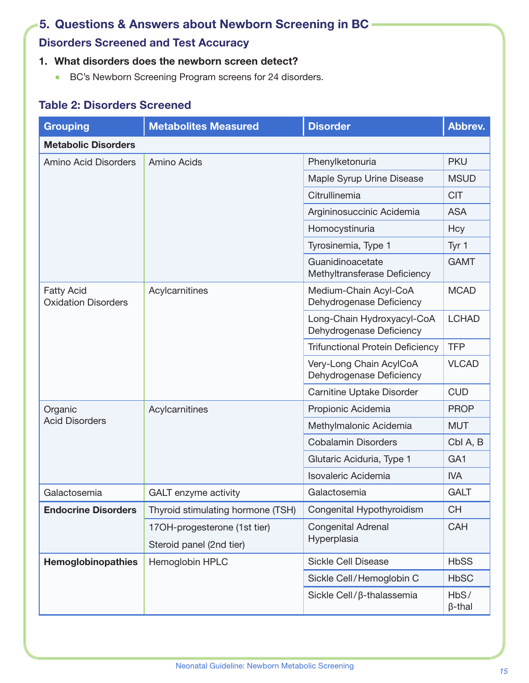# <span id="page-14-0"></span>5. Questions & Answers about Newborn Screening in BC

# Disorders Screened and Test Accuracy

## 1. What disorders does the newborn screen detect?

**BC's Newborn Screening Program screens for 24 disorders.** 

## Table 2: Disorders Screened

| <b>Grouping</b>                                 | <b>Metabolites Measured</b>       | <b>Disorder</b>                                        | Abbrev.               |  |  |  |
|-------------------------------------------------|-----------------------------------|--------------------------------------------------------|-----------------------|--|--|--|
| <b>Metabolic Disorders</b>                      |                                   |                                                        |                       |  |  |  |
| <b>Amino Acid Disorders</b>                     | <b>Amino Acids</b>                | Phenylketonuria                                        | <b>PKU</b>            |  |  |  |
|                                                 |                                   | Maple Syrup Urine Disease                              | <b>MSUD</b>           |  |  |  |
|                                                 |                                   | Citrullinemia                                          | <b>CIT</b>            |  |  |  |
|                                                 |                                   | Argininosuccinic Acidemia                              | <b>ASA</b>            |  |  |  |
|                                                 |                                   | Homocystinuria                                         | Hcy                   |  |  |  |
|                                                 |                                   | Tyrosinemia, Type 1                                    | Tyr 1                 |  |  |  |
|                                                 |                                   | Guanidinoacetate<br>Methyltransferase Deficiency       | <b>GAMT</b>           |  |  |  |
| <b>Fatty Acid</b><br><b>Oxidation Disorders</b> | Acylcarnitines                    | Medium-Chain Acyl-CoA<br>Dehydrogenase Deficiency      | <b>MCAD</b>           |  |  |  |
|                                                 |                                   | Long-Chain Hydroxyacyl-CoA<br>Dehydrogenase Deficiency | <b>LCHAD</b>          |  |  |  |
|                                                 |                                   | <b>Trifunctional Protein Deficiency</b>                | <b>TFP</b>            |  |  |  |
|                                                 |                                   | Very-Long Chain AcylCoA<br>Dehydrogenase Deficiency    | <b>VLCAD</b>          |  |  |  |
|                                                 |                                   | Carnitine Uptake Disorder                              | <b>CUD</b>            |  |  |  |
| Organic                                         | Acylcarnitines                    | Propionic Acidemia                                     | <b>PROP</b>           |  |  |  |
| <b>Acid Disorders</b>                           |                                   | Methylmalonic Acidemia                                 | <b>MUT</b>            |  |  |  |
|                                                 |                                   | <b>Cobalamin Disorders</b>                             | Cbl A, B              |  |  |  |
|                                                 |                                   | Glutaric Aciduria, Type 1                              | GA <sub>1</sub>       |  |  |  |
|                                                 |                                   | <b>Isovaleric Acidemia</b>                             | <b>IVA</b>            |  |  |  |
| Galactosemia                                    | <b>GALT</b> enzyme activity       | Galactosemia                                           | <b>GALT</b>           |  |  |  |
| <b>Endocrine Disorders</b>                      | Thyroid stimulating hormone (TSH) | Congenital Hypothyroidism                              | <b>CH</b>             |  |  |  |
|                                                 | 17OH-progesterone (1st tier)      | <b>Congenital Adrenal</b>                              | <b>CAH</b>            |  |  |  |
|                                                 | Steroid panel (2nd tier)          | Hyperplasia                                            |                       |  |  |  |
| Hemoglobinopathies                              | Hemoglobin HPLC                   | <b>Sickle Cell Disease</b>                             | <b>HbSS</b>           |  |  |  |
|                                                 |                                   | Sickle Cell/Hemoglobin C                               | <b>HbSC</b>           |  |  |  |
|                                                 |                                   | Sickle Cell/β-thalassemia                              | HbS/<br>$\beta$ -thal |  |  |  |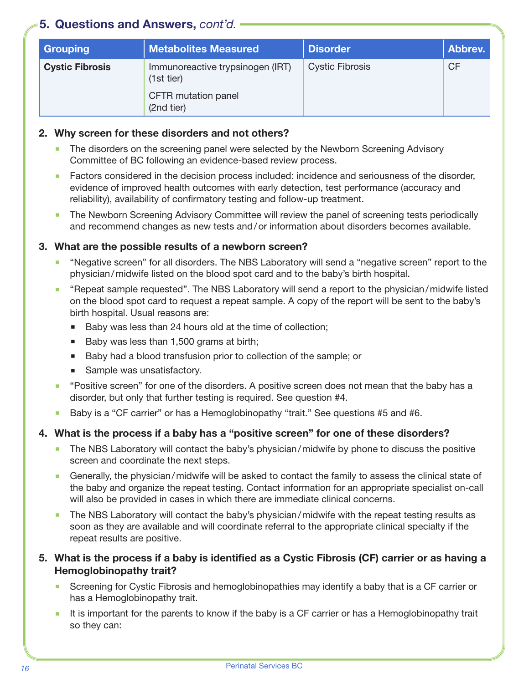| <b>Grouping</b>        | <b>Metabolites Measured</b>                    | <b>Disorder</b>        | Abbrev.   |
|------------------------|------------------------------------------------|------------------------|-----------|
| <b>Cystic Fibrosis</b> | Immunoreactive trypsinogen (IRT)<br>(1st tier) | <b>Cystic Fibrosis</b> | <b>CF</b> |
|                        | CFTR mutation panel<br>(2nd tier)              |                        |           |

#### 2. Why screen for these disorders and not others?

- The disorders on the screening panel were selected by the Newborn Screening Advisory Committee of BC following an evidence-based review process.
- **Factors considered in the decision process included: incidence and seriousness of the disorder,** evidence of improved health outcomes with early detection, test performance (accuracy and reliability), availability of confirmatory testing and follow-up treatment.
- The Newborn Screening Advisory Committee will review the panel of screening tests periodically and recommend changes as new tests and/or information about disorders becomes available.

#### 3. What are the possible results of a newborn screen?

- "Negative screen" for all disorders. The NBS Laboratory will send a "negative screen" report to the physician/midwife listed on the blood spot card and to the baby's birth hospital.
- "Repeat sample requested". The NBS Laboratory will send a report to the physician/midwife listed on the blood spot card to request a repeat sample. A copy of the report will be sent to the baby's birth hospital. Usual reasons are:
	- Baby was less than 24 hours old at the time of collection;
	- Baby was less than 1,500 grams at birth;
	- Baby had a blood transfusion prior to collection of the sample; or
	- **Sample was unsatisfactory.**
- **•** "Positive screen" for one of the disorders. A positive screen does not mean that the baby has a disorder, but only that further testing is required. See question #4.
- Baby is a "CF carrier" or has a Hemoglobinopathy "trait." See questions #5 and #6.

#### 4. What is the process if a baby has a "positive screen" for one of these disorders?

- The NBS Laboratory will contact the baby's physician/midwife by phone to discuss the positive screen and coordinate the next steps.
- Generally, the physician/midwife will be asked to contact the family to assess the clinical state of the baby and organize the repeat testing. Contact information for an appropriate specialist on-call will also be provided in cases in which there are immediate clinical concerns.
- The NBS Laboratory will contact the baby's physician/midwife with the repeat testing results as soon as they are available and will coordinate referral to the appropriate clinical specialty if the repeat results are positive.

#### 5. What is the process if a baby is identified as a Cystic Fibrosis (CF) carrier or as having a Hemoglobinopathy trait?

- **Screening for Cystic Fibrosis and hemoglobinopathies may identify a baby that is a CF carrier or** has a Hemoglobinopathy trait.
- It is important for the parents to know if the baby is a CF carrier or has a Hemoglobinopathy trait so they can: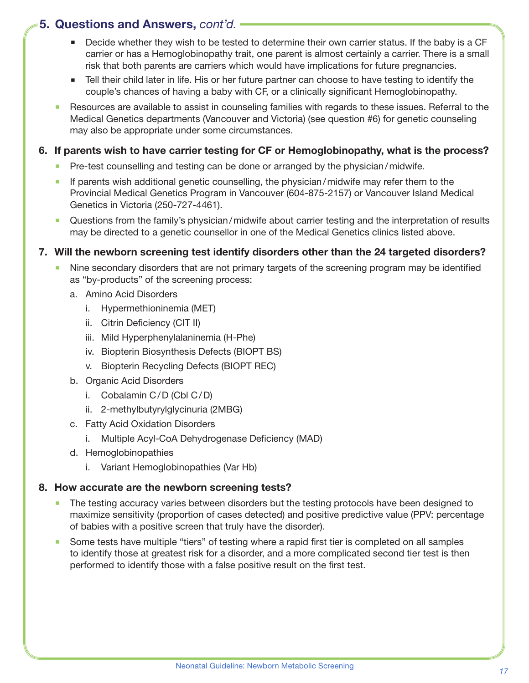- Decide whether they wish to be tested to determine their own carrier status. If the baby is a CF carrier or has a Hemoglobinopathy trait, one parent is almost certainly a carrier. There is a small risk that both parents are carriers which would have implications for future pregnancies.
- **Tell their child later in life. His or her future partner can choose to have testing to identify the** couple's chances of having a baby with CF, or a clinically significant Hemoglobinopathy.
- Resources are available to assist in counseling families with regards to these issues. Referral to the Medical Genetics departments (Vancouver and Victoria) (see question #6) for genetic counseling may also be appropriate under some circumstances.

#### 6. If parents wish to have carrier testing for CF or Hemoglobinopathy, what is the process?

- Pre-test counselling and testing can be done or arranged by the physician/midwife.
- If parents wish additional genetic counselling, the physician/midwife may refer them to the Provincial Medical Genetics Program in Vancouver (604-875-2157) or Vancouver Island Medical Genetics in Victoria (250-727-4461).
- Questions from the family's physician/midwife about carrier testing and the interpretation of results may be directed to a genetic counsellor in one of the Medical Genetics clinics listed above.

#### <span id="page-16-0"></span>7. Will the newborn screening test identify disorders other than the 24 targeted disorders?

- Nine secondary disorders that are not primary targets of the screening program may be identified as "by-products" of the screening process:
	- a. Amino Acid Disorders
		- i. Hypermethioninemia (MET)
		- ii. Citrin Deficiency (CIT II)
		- iii. Mild Hyperphenylalaninemia (H-Phe)
		- iv. Biopterin Biosynthesis Defects (BIOPT BS)
		- v. Biopterin Recycling Defects (BIOPT REC)
	- b. Organic Acid Disorders
		- i. Cobalamin C/D (Cbl C/D)
		- ii. 2-methylbutyrylglycinuria (2MBG)
	- c. Fatty Acid Oxidation Disorders
		- i. Multiple Acyl-CoA Dehydrogenase Deficiency (MAD)
	- d. Hemoglobinopathies
		- i. Variant Hemoglobinopathies (Var Hb)

#### 8. How accurate are the newborn screening tests?

- The testing accuracy varies between disorders but the testing protocols have been designed to maximize sensitivity (proportion of cases detected) and positive predictive value (PPV: percentage of babies with a positive screen that truly have the disorder).
- Some tests have multiple "tiers" of testing where a rapid first tier is completed on all samples to identify those at greatest risk for a disorder, and a more complicated second tier test is then performed to identify those with a false positive result on the first test.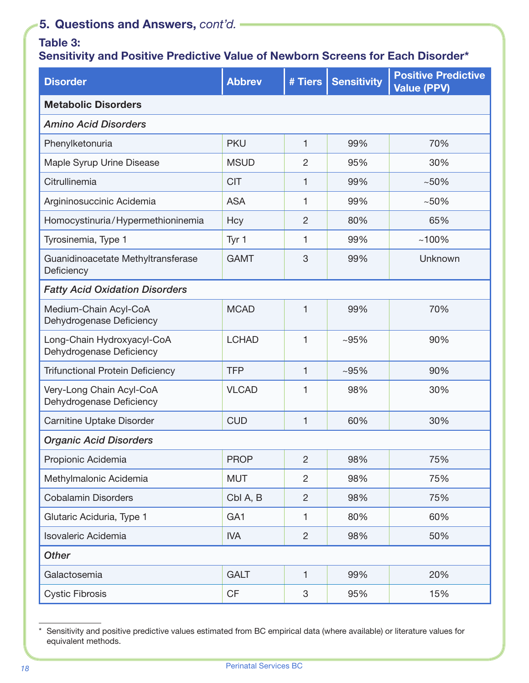## Table 3:

# Sensitivity and Positive Predictive Value of Newborn Screens for Each Disorder\*

| <b>Disorder</b>                                        | <b>Abbrev</b>   | # Tiers        | <b>Sensitivity</b> | <b>Positive Predictive</b><br><b>Value (PPV)</b> |  |
|--------------------------------------------------------|-----------------|----------------|--------------------|--------------------------------------------------|--|
| <b>Metabolic Disorders</b>                             |                 |                |                    |                                                  |  |
| <b>Amino Acid Disorders</b>                            |                 |                |                    |                                                  |  |
| Phenylketonuria                                        | <b>PKU</b>      | 1              | 99%                | 70%                                              |  |
| Maple Syrup Urine Disease                              | <b>MSUD</b>     | $\overline{2}$ | 95%                | 30%                                              |  |
| Citrullinemia                                          | <b>CIT</b>      | 1              | 99%                | $~10\%$                                          |  |
| Argininosuccinic Acidemia                              | <b>ASA</b>      | 1              | 99%                | $~10\%$                                          |  |
| Homocystinuria/Hypermethioninemia                      | Hcy             | $\overline{2}$ | 80%                | 65%                                              |  |
| Tyrosinemia, Type 1                                    | Tyr 1           | 1              | 99%                | $~100\%$                                         |  |
| Guanidinoacetate Methyltransferase<br>Deficiency       | <b>GAMT</b>     | 3              | 99%                | Unknown                                          |  |
| <b>Fatty Acid Oxidation Disorders</b>                  |                 |                |                    |                                                  |  |
| Medium-Chain Acyl-CoA<br>Dehydrogenase Deficiency      | <b>MCAD</b>     | 1              | 99%                | 70%                                              |  |
| Long-Chain Hydroxyacyl-CoA<br>Dehydrogenase Deficiency | <b>LCHAD</b>    | 1              | $~105\%$           | 90%                                              |  |
| <b>Trifunctional Protein Deficiency</b>                | <b>TFP</b>      | 1              | $~105\%$           | 90%                                              |  |
| Very-Long Chain Acyl-CoA<br>Dehydrogenase Deficiency   | <b>VLCAD</b>    | 1              | 98%                | 30%                                              |  |
| <b>Carnitine Uptake Disorder</b>                       | <b>CUD</b>      | 1              | 60%                | 30%                                              |  |
| <b>Organic Acid Disorders</b>                          |                 |                |                    |                                                  |  |
| Propionic Acidemia                                     | <b>PROP</b>     | $\overline{2}$ | 98%                | 75%                                              |  |
| Methylmalonic Acidemia                                 | <b>MUT</b>      | $\overline{2}$ | 98%                | 75%                                              |  |
| <b>Cobalamin Disorders</b>                             | Cbl A, B        | $\overline{2}$ | 98%                | 75%                                              |  |
| Glutaric Aciduria, Type 1                              | GA <sub>1</sub> | $\mathbf{1}$   | 80%                | 60%                                              |  |
| Isovaleric Acidemia                                    | <b>IVA</b>      | $\overline{c}$ | 98%                | 50%                                              |  |
| <b>Other</b>                                           |                 |                |                    |                                                  |  |
| Galactosemia                                           | <b>GALT</b>     | $\mathbf{1}$   | 99%                | 20%                                              |  |
| <b>Cystic Fibrosis</b>                                 | CF              | 3              | 95%                | 15%                                              |  |

<sup>\*</sup> Sensitivity and positive predictive values estimated from BC empirical data (where available) or literature values for equivalent methods.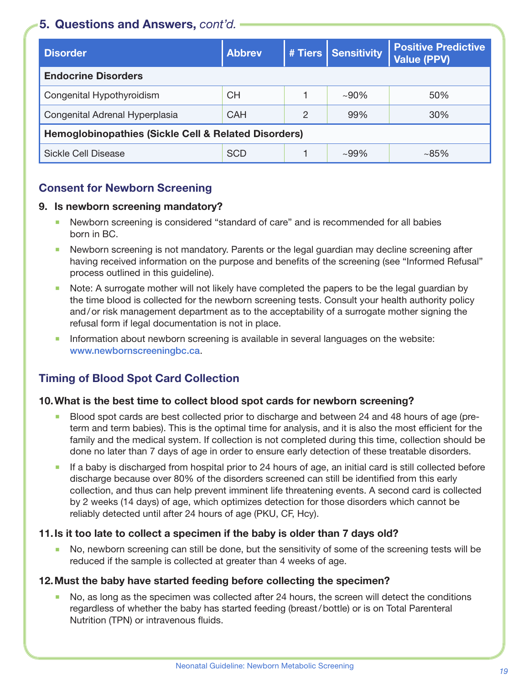| <b>Disorder</b>                                                 | <b>Abbrey</b> |   | # Tiers   Sensitivity | <b>Positive Predictive</b><br><b>Value (PPV)</b> |
|-----------------------------------------------------------------|---------------|---|-----------------------|--------------------------------------------------|
| <b>Endocrine Disorders</b>                                      |               |   |                       |                                                  |
| Congenital Hypothyroidism                                       | СH            |   | $~100\%$              | 50%                                              |
| Congenital Adrenal Hyperplasia                                  | <b>CAH</b>    | 2 | 99%                   | 30%                                              |
| <b>Hemoglobinopathies (Sickle Cell &amp; Related Disorders)</b> |               |   |                       |                                                  |
| Sickle Cell Disease                                             | <b>SCD</b>    |   | $~109\%$              | $~10-85\%$                                       |

## Consent for Newborn Screening

#### 9. Is newborn screening mandatory?

- Newborn screening is considered "standard of care" and is recommended for all babies born in BC.
- Newborn screening is not mandatory. Parents or the legal guardian may decline screening after having received information on the purpose and benefits of the screening (see "Informed Refusal" process outlined in this guideline).
- Note: A surrogate mother will not likely have completed the papers to be the legal guardian by the time blood is collected for the newborn screening tests. Consult your health authority policy and/or risk management department as to the acceptability of a surrogate mother signing the refusal form if legal documentation is not in place.
- Information about newborn screening is available in several languages on the website: [www.newbornscreeningbc.ca](http://www.newbornscreeningbc.ca).

## Timing of Blood Spot Card Collection

#### 10.What is the best time to collect blood spot cards for newborn screening?

- Blood spot cards are best collected prior to discharge and between 24 and 48 hours of age (preterm and term babies). This is the optimal time for analysis, and it is also the most efficient for the family and the medical system. If collection is not completed during this time, collection should be done no later than 7 days of age in order to ensure early detection of these treatable disorders.
- If a baby is discharged from hospital prior to 24 hours of age, an initial card is still collected before discharge because over 80% of the disorders screened can still be identified from this early collection, and thus can help prevent imminent life threatening events. A second card is collected by 2 weeks (14 days) of age, which optimizes detection for those disorders which cannot be reliably detected until after 24 hours of age (PKU, CF, Hcy).

#### 11.Is it too late to collect a specimen if the baby is older than 7 days old?

 No, newborn screening can still be done, but the sensitivity of some of the screening tests will be reduced if the sample is collected at greater than 4 weeks of age.

#### 12.Must the baby have started feeding before collecting the specimen?

 No, as long as the specimen was collected after 24 hours, the screen will detect the conditions regardless of whether the baby has started feeding (breast/bottle) or is on Total Parenteral Nutrition (TPN) or intravenous fluids.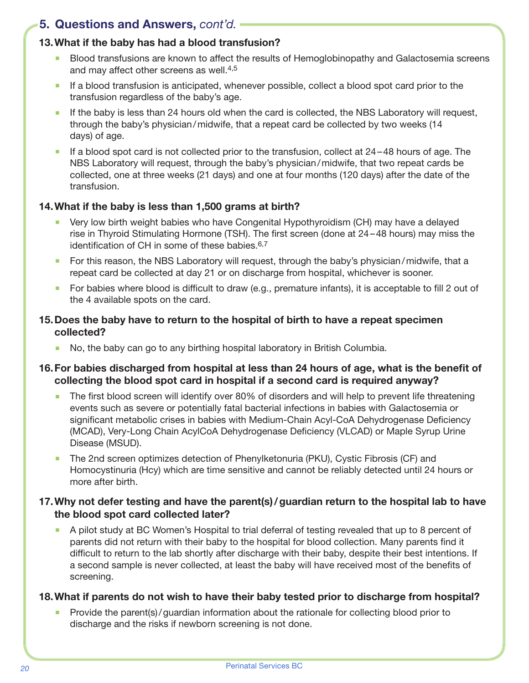#### 13.What if the baby has had a blood transfusion?

- **Blood transfusions are known to affect the results of Hemoglobinopathy and Galactosemia screens** and may affect other screens as well.[4](#page-30-4)[,5](#page-30-5)
- If a blood transfusion is anticipated, whenever possible, collect a blood spot card prior to the transfusion regardless of the baby's age.
- If the baby is less than 24 hours old when the card is collected, the NBS Laboratory will request, through the baby's physician/midwife, that a repeat card be collected by two weeks (14 days) of age.
- If a blood spot card is not collected prior to the transfusion, collect at  $24-48$  hours of age. The NBS Laboratory will request, through the baby's physician/midwife, that two repeat cards be collected, one at three weeks (21 days) and one at four months (120 days) after the date of the transfusion.

#### 14.What if the baby is less than 1,500 grams at birth?

- Very low birth weight babies who have Congenital Hypothyroidism (CH) may have a delayed rise in Thyroid Stimulating Hormone (TSH). The first screen (done at 24–48 hours) may miss the identification of CH in some of these babies.<sup>[6](#page-30-6)[,7](#page-30-7)</sup>
- For this reason, the NBS Laboratory will request, through the baby's physician/midwife, that a repeat card be collected at day 21 or on discharge from hospital, whichever is sooner.
- For babies where blood is difficult to draw (e.g., premature infants), it is acceptable to fill 2 out of the 4 available spots on the card.

#### 15.Does the baby have to return to the hospital of birth to have a repeat specimen collected?

No, the baby can go to any birthing hospital laboratory in British Columbia.

#### 16.For babies discharged from hospital at less than 24 hours of age, what is the benefit of collecting the blood spot card in hospital if a second card is required anyway?

- The first blood screen will identify over 80% of disorders and will help to prevent life threatening events such as severe or potentially fatal bacterial infections in babies with Galactosemia or significant metabolic crises in babies with Medium-Chain Acyl-CoA Dehydrogenase Deficiency (MCAD), Very-Long Chain AcylCoA Dehydrogenase Deficiency (VLCAD) or Maple Syrup Urine Disease (MSUD).
- The 2nd screen optimizes detection of Phenylketonuria (PKU), Cystic Fibrosis (CF) and Homocystinuria (Hcy) which are time sensitive and cannot be reliably detected until 24 hours or more after birth.

#### 17.Why not defer testing and have the parent(s)/guardian return to the hospital lab to have the blood spot card collected later?

 A pilot study at BC Women's Hospital to trial deferral of testing revealed that up to 8 percent of parents did not return with their baby to the hospital for blood collection. Many parents find it difficult to return to the lab shortly after discharge with their baby, despite their best intentions. If a second sample is never collected, at least the baby will have received most of the benefits of screening.

#### 18.What if parents do not wish to have their baby tested prior to discharge from hospital?

 Provide the parent(s)/guardian information about the rationale for collecting blood prior to discharge and the risks if newborn screening is not done.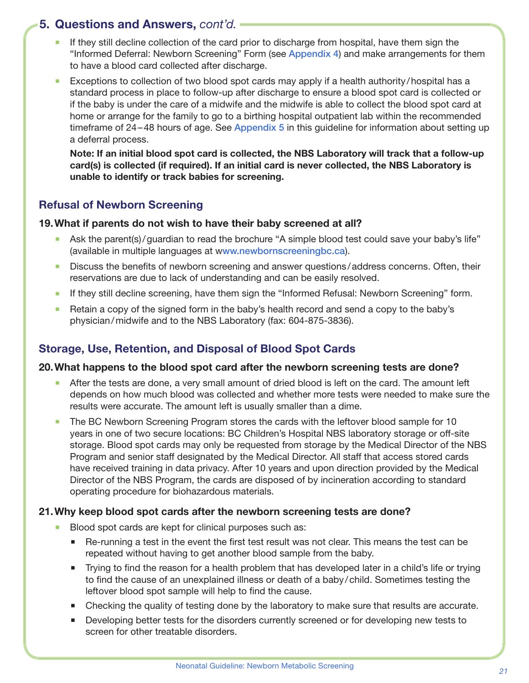- If they still decline collection of the card prior to discharge from hospital, have them sign the "Informed Deferral: Newborn Screening" Form (see [Appendix 4](#page-26-1)) and make arrangements for them to have a blood card collected after discharge.
- **Exceptions to collection of two blood spot cards may apply if a health authority/hospital has a** standard process in place to follow-up after discharge to ensure a blood spot card is collected or if the baby is under the care of a midwife and the midwife is able to collect the blood spot card at home or arrange for the family to go to a birthing hospital outpatient lab within the recommended timeframe of 24–48 hours of age. See [Appendix 5](#page-27-1) in this guideline for information about setting up a deferral process.

Note: If an initial blood spot card is collected, the NBS Laboratory will track that a follow-up card(s) is collected (if required). If an initial card is never collected, the NBS Laboratory is unable to identify or track babies for screening.

#### Refusal of Newborn Screening

#### 19.What if parents do not wish to have their baby screened at all?

- Ask the parent(s)/guardian to read the brochure "A simple blood test could save your baby's life" (available in multiple languages at w[ww.newbornscreeningbc.ca](http://www.newbornscreeningbc.ca)).
- Discuss the benefits of newborn screening and answer questions /address concerns. Often, their reservations are due to lack of understanding and can be easily resolved.
- **If they still decline screening, have them sign the "Informed Refusal: Newborn Screening" form.**
- Retain a copy of the signed form in the baby's health record and send a copy to the baby's physician/midwife and to the NBS Laboratory (fax: 604-875-3836).

## Storage, Use, Retention, and Disposal of Blood Spot Cards

#### 20.What happens to the blood spot card after the newborn screening tests are done?

- After the tests are done, a very small amount of dried blood is left on the card. The amount left depends on how much blood was collected and whether more tests were needed to make sure the results were accurate. The amount left is usually smaller than a dime.
- The BC Newborn Screening Program stores the cards with the leftover blood sample for 10 years in one of two secure locations: BC Children's Hospital NBS laboratory storage or off-site storage. Blood spot cards may only be requested from storage by the Medical Director of the NBS Program and senior staff designated by the Medical Director. All staff that access stored cards have received training in data privacy. After 10 years and upon direction provided by the Medical Director of the NBS Program, the cards are disposed of by incineration according to standard operating procedure for biohazardous materials.

#### 21.Why keep blood spot cards after the newborn screening tests are done?

- Blood spot cards are kept for clinical purposes such as:
	- Re-running a test in the event the first test result was not clear. This means the test can be repeated without having to get another blood sample from the baby.
	- Trying to find the reason for a health problem that has developed later in a child's life or trying to find the cause of an unexplained illness or death of a baby/child. Sometimes testing the leftover blood spot sample will help to find the cause.
	- Checking the quality of testing done by the laboratory to make sure that results are accurate.
	- **Developing better tests for the disorders currently screened or for developing new tests to** screen for other treatable disorders.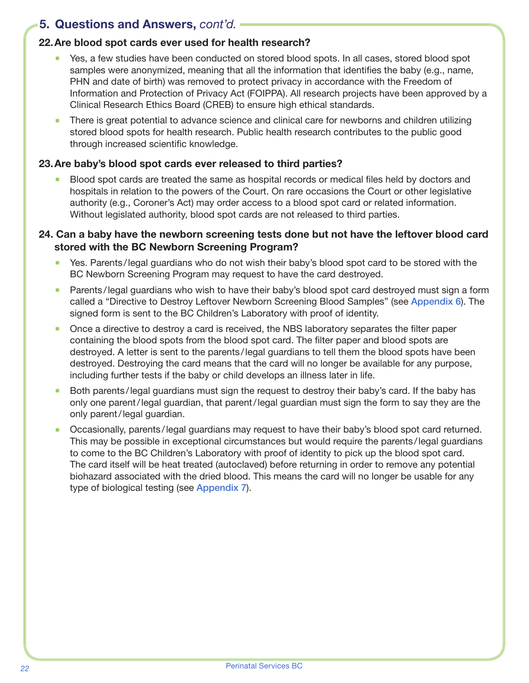#### 22.Are blood spot cards ever used for health research?

- Yes, a few studies have been conducted on stored blood spots. In all cases, stored blood spot samples were anonymized, meaning that all the information that identifies the baby (e.g., name, PHN and date of birth) was removed to protect privacy in accordance with the Freedom of Information and Protection of Privacy Act (FOIPPA). All research projects have been approved by a Clinical Research Ethics Board (CREB) to ensure high ethical standards.
- There is great potential to advance science and clinical care for newborns and children utilizing stored blood spots for health research. Public health research contributes to the public good through increased scientific knowledge.

#### 23.Are baby's blood spot cards ever released to third parties?

 Blood spot cards are treated the same as hospital records or medical files held by doctors and hospitals in relation to the powers of the Court. On rare occasions the Court or other legislative authority (e.g., Coroner's Act) may order access to a blood spot card or related information. Without legislated authority, blood spot cards are not released to third parties.

#### 24. Can a baby have the newborn screening tests done but not have the leftover blood card stored with the BC Newborn Screening Program?

- Yes. Parents/legal guardians who do not wish their baby's blood spot card to be stored with the BC Newborn Screening Program may request to have the card destroyed.
- Parents /legal guardians who wish to have their baby's blood spot card destroyed must sign a form called a "Directive to Destroy Leftover Newborn Screening Blood Samples" (see [Appendix 6](#page-28-1)). The signed form is sent to the BC Children's Laboratory with proof of identity.
- Once a directive to destroy a card is received, the NBS laboratory separates the filter paper containing the blood spots from the blood spot card. The filter paper and blood spots are destroyed. A letter is sent to the parents /legal guardians to tell them the blood spots have been destroyed. Destroying the card means that the card will no longer be available for any purpose, including further tests if the baby or child develops an illness later in life.
- Both parents /legal guardians must sign the request to destroy their baby's card. If the baby has only one parent/legal guardian, that parent/legal guardian must sign the form to say they are the only parent/legal guardian.
- Occasionally, parents /legal guardians may request to have their baby's blood spot card returned. This may be possible in exceptional circumstances but would require the parents/legal guardians to come to the BC Children's Laboratory with proof of identity to pick up the blood spot card. The card itself will be heat treated (autoclaved) before returning in order to remove any potential biohazard associated with the dried blood. This means the card will no longer be usable for any type of biological testing (see [Appendix 7](#page-29-1)).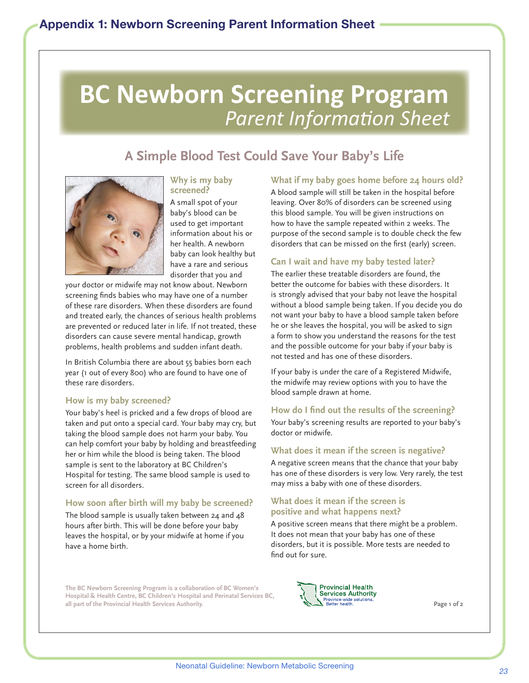# <span id="page-22-0"></span>**BC Newborn Screening Program** *Parent Information Sheet*

# **A Simple Blood Test Could Save Your Baby's Life**



#### **Why is my baby screened?**

A small spot of your baby's blood can be used to get important information about his or her health. A newborn baby can look healthy but have a rare and serious disorder that you and

your doctor or midwife may not know about. Newborn screening finds babies who may have one of a number of these rare disorders. When these disorders are found and treated early, the chances of serious health problems are prevented or reduced later in life. If not treated, these disorders can cause severe mental handicap, growth problems, health problems and sudden infant death.

In British Columbia there are about 55 babies born each year (1 out of every 800) who are found to have one of these rare disorders.

#### **How is my baby screened?**

Your baby's heel is pricked and a few drops of blood are taken and put onto a special card. Your baby may cry, but taking the blood sample does not harm your baby. You can help comfort your baby by holding and breastfeeding her or him while the blood is being taken. The blood sample is sent to the laboratory at BC Children's Hospital for testing. The same blood sample is used to screen for all disorders.

#### **How soon after birth will my baby be screened?**

The blood sample is usually taken between 24 and 48 hours after birth. This will be done before your baby leaves the hospital, or by your midwife at home if you have a home birth.

#### **What if my baby goes home before 24 hours old?**

A blood sample will still be taken in the hospital before leaving. Over 80% of disorders can be screened using this blood sample. You will be given instructions on how to have the sample repeated within 2 weeks. The purpose of the second sample is to double check the few disorders that can be missed on the first (early) screen.

#### **Can I wait and have my baby tested later?**

The earlier these treatable disorders are found, the better the outcome for babies with these disorders. It is strongly advised that your baby not leave the hospital without a blood sample being taken. If you decide you do not want your baby to have a blood sample taken before he or she leaves the hospital, you will be asked to sign a form to show you understand the reasons for the test and the possible outcome for your baby if your baby is not tested and has one of these disorders.

If your baby is under the care of a Registered Midwife, the midwife may review options with you to have the blood sample drawn at home.

#### **How do I find out the results of the screening?**

Your baby's screening results are reported to your baby's doctor or midwife.

#### **What does it mean if the screen is negative?**

A negative screen means that the chance that your baby has one of these disorders is very low. Very rarely, the test may miss a baby with one of these disorders.

#### **What does it mean if the screen is positive and what happens next?**

A positive screen means that there might be a problem. It does not mean that your baby has one of these disorders, but it is possible. More tests are needed to find out for sure.

**The BC Newborn Screening Program is a collaboration of BC Women's Hospital & Health Centre, BC Children's Hospital and Perinatal Services BC, all part of the Provincial Health Services Authority.**



**Page 1 of 2**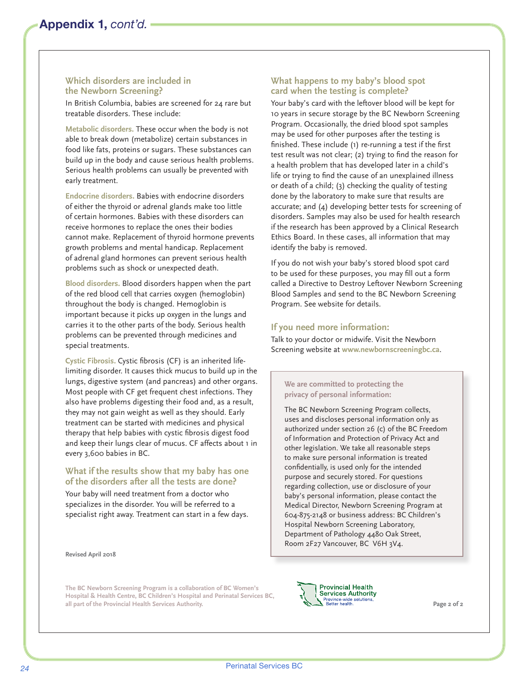#### **Which disorders are included in the Newborn Screening?**

In British Columbia, babies are screened for 24 rare but treatable disorders. These include:

**Metabolic disorders.** These occur when the body is not able to break down (metabolize) certain substances in food like fats, proteins or sugars. These substances can build up in the body and cause serious health problems. Serious health problems can usually be prevented with early treatment.

**Endocrine disorders.** Babies with endocrine disorders of either the thyroid or adrenal glands make too little of certain hormones. Babies with these disorders can receive hormones to replace the ones their bodies cannot make. Replacement of thyroid hormone prevents growth problems and mental handicap. Replacement of adrenal gland hormones can prevent serious health problems such as shock or unexpected death.

**Blood disorders.** Blood disorders happen when the part of the red blood cell that carries oxygen (hemoglobin) throughout the body is changed. Hemoglobin is important because it picks up oxygen in the lungs and carries it to the other parts of the body. Serious health problems can be prevented through medicines and special treatments.

**Cystic Fibrosis.** Cystic fibrosis (CF) is an inherited lifelimiting disorder. It causes thick mucus to build up in the lungs, digestive system (and pancreas) and other organs. Most people with CF get frequent chest infections. They also have problems digesting their food and, as a result, they may not gain weight as well as they should. Early treatment can be started with medicines and physical therapy that help babies with cystic fibrosis digest food and keep their lungs clear of mucus. CF affects about 1 in every 3,600 babies in BC.

#### **What if the results show that my baby has one of the disorders after all the tests are done?**

Your baby will need treatment from a doctor who specializes in the disorder. You will be referred to a specialist right away. Treatment can start in a few days.

**Revised April 2018**

#### **What happens to my baby's blood spot card when the testing is complete?**

Your baby's card with the leftover blood will be kept for 10 years in secure storage by the BC Newborn Screening Program. Occasionally, the dried blood spot samples may be used for other purposes after the testing is finished. These include (1) re-running a test if the first test result was not clear; (2) trying to find the reason for a health problem that has developed later in a child's life or trying to find the cause of an unexplained illness or death of a child; (3) checking the quality of testing done by the laboratory to make sure that results are accurate; and (4) developing better tests for screening of disorders. Samples may also be used for health research if the research has been approved by a Clinical Research Ethics Board. In these cases, all information that may identify the baby is removed.

If you do not wish your baby's stored blood spot card to be used for these purposes, you may fill out a form called a Directive to Destroy Leftover Newborn Screening Blood Samples and send to the BC Newborn Screening Program. See website for details.

#### **If you need more information:**

Talk to your doctor or midwife. Visit the Newborn Screening website at **www.newbornscreeningbc.ca**.

#### **We are committed to protecting the privacy of personal information:**

The BC Newborn Screening Program collects, uses and discloses personal information only as authorized under section 26 (c) of the BC Freedom of Information and Protection of Privacy Act and other legislation. We take all reasonable steps to make sure personal information is treated confidentially, is used only for the intended purpose and securely stored. For questions regarding collection, use or disclosure of your baby's personal information, please contact the Medical Director, Newborn Screening Program at 604-875-2148 or business address: BC Children's Hospital Newborn Screening Laboratory, Department of Pathology 4480 Oak Street, Room 2F27 Vancouver, BC V6H 3V4.

**The BC Newborn Screening Program is a collaboration of BC Women's Hospital & Health Centre, BC Children's Hospital and Perinatal Services BC, all part of the Provincial Health Services Authority.**



**Page 2 of 2**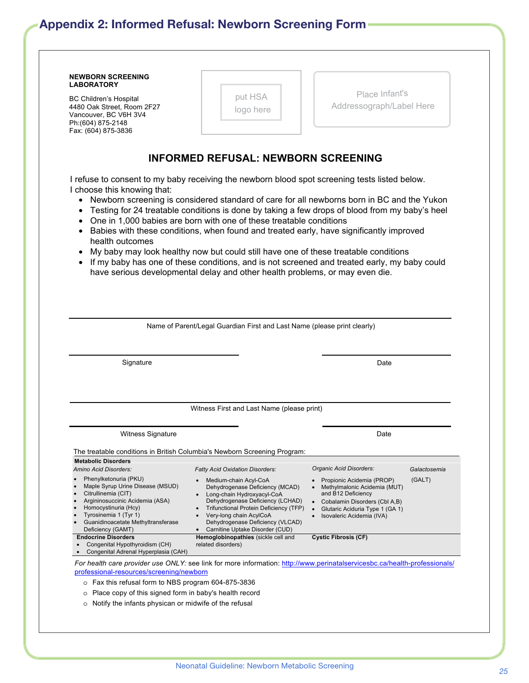# <span id="page-24-1"></span><span id="page-24-0"></span>Appendix 2: Informed Refusal: Newborn Screening Form

| <b>NEWBORN SCREENING</b><br><b>LABORATORY</b>                                                                                                                                                                                                            |                                                                                                                                                                                                                                                                                                                                                                                                                                                                                                                                                                                                                                                                                                                                        |                                                                                                                                                                                                                                                    |                        |
|----------------------------------------------------------------------------------------------------------------------------------------------------------------------------------------------------------------------------------------------------------|----------------------------------------------------------------------------------------------------------------------------------------------------------------------------------------------------------------------------------------------------------------------------------------------------------------------------------------------------------------------------------------------------------------------------------------------------------------------------------------------------------------------------------------------------------------------------------------------------------------------------------------------------------------------------------------------------------------------------------------|----------------------------------------------------------------------------------------------------------------------------------------------------------------------------------------------------------------------------------------------------|------------------------|
| BC Children's Hospital<br>4480 Oak Street, Room 2F27<br>Vancouver, BC V6H 3V4<br>Ph:(604) 875-2148<br>Fax: (604) 875-3836                                                                                                                                | put HSA<br>logo here                                                                                                                                                                                                                                                                                                                                                                                                                                                                                                                                                                                                                                                                                                                   | Place Infant's<br>Addressograph/Label Here                                                                                                                                                                                                         |                        |
|                                                                                                                                                                                                                                                          | <b>INFORMED REFUSAL: NEWBORN SCREENING</b>                                                                                                                                                                                                                                                                                                                                                                                                                                                                                                                                                                                                                                                                                             |                                                                                                                                                                                                                                                    |                        |
| I choose this knowing that:<br>$\bullet$<br>$\bullet$<br>$\bullet$<br>health outcomes                                                                                                                                                                    | I refuse to consent to my baby receiving the newborn blood spot screening tests listed below.<br>Newborn screening is considered standard of care for all newborns born in BC and the Yukon<br>Testing for 24 treatable conditions is done by taking a few drops of blood from my baby's heel<br>One in 1,000 babies are born with one of these treatable conditions<br>Babies with these conditions, when found and treated early, have significantly improved<br>My baby may look healthy now but could still have one of these treatable conditions<br>If my baby has one of these conditions, and is not screened and treated early, my baby could<br>have serious developmental delay and other health problems, or may even die. |                                                                                                                                                                                                                                                    |                        |
|                                                                                                                                                                                                                                                          | Name of Parent/Legal Guardian First and Last Name (please print clearly)                                                                                                                                                                                                                                                                                                                                                                                                                                                                                                                                                                                                                                                               |                                                                                                                                                                                                                                                    |                        |
| Signature                                                                                                                                                                                                                                                |                                                                                                                                                                                                                                                                                                                                                                                                                                                                                                                                                                                                                                                                                                                                        | Date                                                                                                                                                                                                                                               |                        |
|                                                                                                                                                                                                                                                          | Witness First and Last Name (please print)                                                                                                                                                                                                                                                                                                                                                                                                                                                                                                                                                                                                                                                                                             |                                                                                                                                                                                                                                                    |                        |
|                                                                                                                                                                                                                                                          |                                                                                                                                                                                                                                                                                                                                                                                                                                                                                                                                                                                                                                                                                                                                        |                                                                                                                                                                                                                                                    |                        |
| <b>Witness Signature</b>                                                                                                                                                                                                                                 |                                                                                                                                                                                                                                                                                                                                                                                                                                                                                                                                                                                                                                                                                                                                        | Date                                                                                                                                                                                                                                               |                        |
| <b>Metabolic Disorders</b>                                                                                                                                                                                                                               | The treatable conditions in British Columbia's Newborn Screening Program:                                                                                                                                                                                                                                                                                                                                                                                                                                                                                                                                                                                                                                                              |                                                                                                                                                                                                                                                    |                        |
| Amino Acid Disorders:<br>Phenylketonuria (PKU)<br>Maple Syrup Urine Disease (MSUD)<br>Citrullinemia (CIT)<br>Argininosuccinic Acidemia (ASA)<br>Homocystinuria (Hcy)<br>Tyrosinemia 1 (Tyr 1)<br>Guanidinoacetate Methyltransferase<br>Deficiency (GAMT) | <b>Fatty Acid Oxidation Disorders:</b><br>Medium-chain Acyl-CoA<br>Dehydrogenase Deficiency (MCAD)<br>Long-chain Hydroxyacyl-CoA<br>Dehydrogenase Deficiency (LCHAD)<br>Trifunctional Protein Deficiency (TFP)<br>Very-long chain AcylCoA<br>Dehydrogenase Deficiency (VLCAD)<br>Carnitine Uptake Disorder (CUD)                                                                                                                                                                                                                                                                                                                                                                                                                       | Organic Acid Disorders:<br>Propionic Acidemia (PROP)<br>Methylmalonic Acidemia (MUT)<br>and B12 Deficiency<br>Cobalamin Disorders (Cbl A,B)<br>$\bullet$<br>Glutaric Aciduria Type 1 (GA 1)<br>$\bullet$<br>Isovaleric Acidemia (IVA)<br>$\bullet$ | Galactosemia<br>(GALT) |
| <b>Endocrine Disorders</b><br>Congenital Hypothyroidism (CH)<br>Congenital Adrenal Hyperplasia (CAH)                                                                                                                                                     | Hemoglobinopathies (sickle cell and<br>related disorders)                                                                                                                                                                                                                                                                                                                                                                                                                                                                                                                                                                                                                                                                              | <b>Cystic Fibrosis (CF)</b>                                                                                                                                                                                                                        |                        |
|                                                                                                                                                                                                                                                          | For health care provider use ONLY: see link for more information: http://www.perinatalservicesbc.ca/health-professionals/                                                                                                                                                                                                                                                                                                                                                                                                                                                                                                                                                                                                              |                                                                                                                                                                                                                                                    |                        |
| professional-resources/screening/newborn<br>o Fax this refusal form to NBS program 604-875-3836                                                                                                                                                          |                                                                                                                                                                                                                                                                                                                                                                                                                                                                                                                                                                                                                                                                                                                                        |                                                                                                                                                                                                                                                    |                        |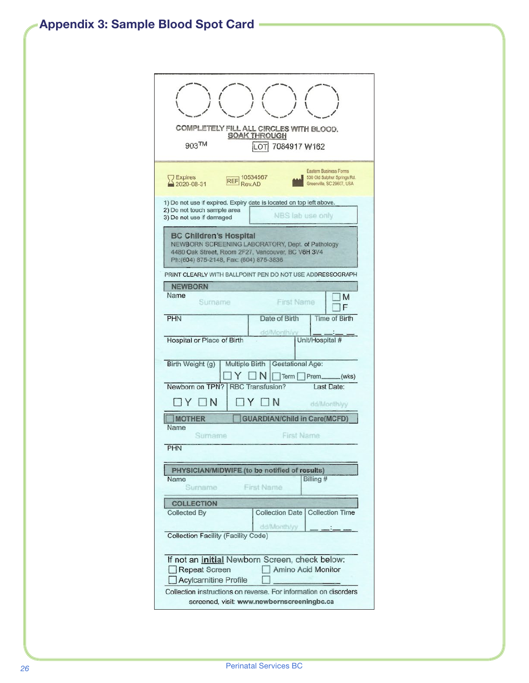<span id="page-25-1"></span><span id="page-25-0"></span>

| COMPLETELY FILL ALL CIRCLES WITH BLOOD.<br><b>SOAK THROUGH</b><br>$903$ TM<br>7084917 W162<br>LOTI                                                                                                                                                    |  |  |  |  |  |
|-------------------------------------------------------------------------------------------------------------------------------------------------------------------------------------------------------------------------------------------------------|--|--|--|--|--|
| <b>Eastern Business Forms</b><br>530 Old Sulphur Springs Rd.<br><b>Expires</b><br><b>REF</b> 10534567<br>Rev.AD<br>2020-08-31<br>Greenville, SC 29607, USA                                                                                            |  |  |  |  |  |
| 1) Do not use if expired. Expiry date is located on top left above.<br>2) Do not touch sample area<br>NBS lab use only<br>3) Do not use if damaged                                                                                                    |  |  |  |  |  |
| <b>BC Children's Hospital</b><br>NEWBORN SCREENING LABORATORY, Dept. of Pathology<br>4480 Oak Street, Room 2F27, Vancouver, BC V6H 3V4<br>Ph:(604) 875-2148, Fax: (604) 875-3836                                                                      |  |  |  |  |  |
| PRINT CLEARLY WITH BALLPOINT PEN DO NOT USE ADDRESSOGRAPH                                                                                                                                                                                             |  |  |  |  |  |
| <b>NEWBORN</b>                                                                                                                                                                                                                                        |  |  |  |  |  |
| Name<br>M<br>First Name<br>Surname<br>F                                                                                                                                                                                                               |  |  |  |  |  |
| Date of Birth<br><b>Time of Birth</b><br><b>PHN</b>                                                                                                                                                                                                   |  |  |  |  |  |
| dd/Month/vv<br>Unit/Hospital #<br>Hospital or Place of Birth                                                                                                                                                                                          |  |  |  |  |  |
| Birth Weight (g)<br>Multiple Birth Gestational Age:<br>N<br>Y<br>Term Prem.(wks)                                                                                                                                                                      |  |  |  |  |  |
| Newborn on TPN?<br><b>RBC Transfusion?</b><br>Last Date:                                                                                                                                                                                              |  |  |  |  |  |
| $\neg N$<br>TN.<br>Y<br>Y<br>dd/Month/yy                                                                                                                                                                                                              |  |  |  |  |  |
| <b>MOTHER</b><br><b>GUARDIAN/Child in Care(MCFD)</b>                                                                                                                                                                                                  |  |  |  |  |  |
| Name                                                                                                                                                                                                                                                  |  |  |  |  |  |
| <b>First Name</b><br>Sumame                                                                                                                                                                                                                           |  |  |  |  |  |
| <b>PHN</b>                                                                                                                                                                                                                                            |  |  |  |  |  |
| PHYSICIAN/MIDWIFE (to be notified of results)                                                                                                                                                                                                         |  |  |  |  |  |
| Billing #<br>Name<br>Surname<br><b>First Name</b>                                                                                                                                                                                                     |  |  |  |  |  |
| <b>COLLECTION</b>                                                                                                                                                                                                                                     |  |  |  |  |  |
| <b>Collection Time</b><br><b>Collection Date</b><br><b>Collected By</b>                                                                                                                                                                               |  |  |  |  |  |
| dd/Month/yy                                                                                                                                                                                                                                           |  |  |  |  |  |
| Collection Facility (Facility Code)                                                                                                                                                                                                                   |  |  |  |  |  |
| If not an <i>initial</i> Newborn Screen, check below:<br>Amino Acid Monitor<br><b>Repeat Screen</b><br><b>Acylcarnitine Profile</b><br>Collection instructions on reverse. For information on disorders<br>screened, visit: www.newbornscreeningbc.ca |  |  |  |  |  |
|                                                                                                                                                                                                                                                       |  |  |  |  |  |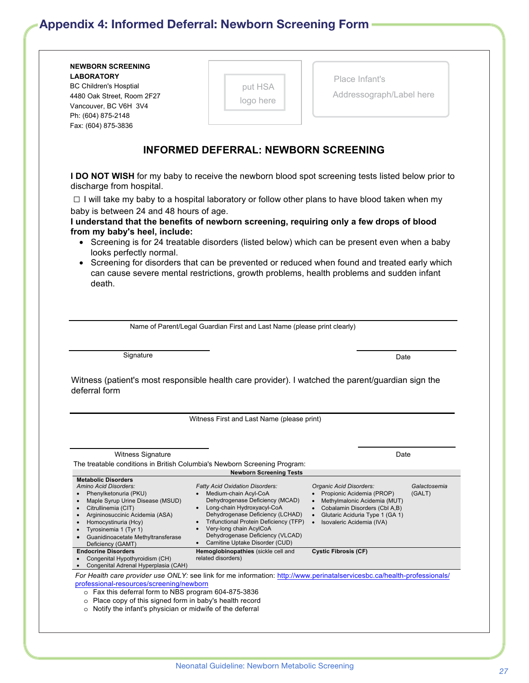# <span id="page-26-1"></span><span id="page-26-0"></span>Appendix 4: Informed Deferral: Newborn Screening Form

**NEWBORN SCREENING** 

**LABORATORY**

|                                                           | put HSA                                                                                                                                                                                 |                                                                                        |                        |
|-----------------------------------------------------------|-----------------------------------------------------------------------------------------------------------------------------------------------------------------------------------------|----------------------------------------------------------------------------------------|------------------------|
| 4480 Oak Street, Room 2F27                                | logo here                                                                                                                                                                               | Addressograph/Label here                                                               |                        |
| Vancouver, BC V6H 3V4                                     |                                                                                                                                                                                         |                                                                                        |                        |
| Ph: (604) 875-2148<br>Fax: (604) 875-3836                 |                                                                                                                                                                                         |                                                                                        |                        |
|                                                           |                                                                                                                                                                                         |                                                                                        |                        |
|                                                           | <b>INFORMED DEFERRAL: NEWBORN SCREENING</b>                                                                                                                                             |                                                                                        |                        |
|                                                           |                                                                                                                                                                                         |                                                                                        |                        |
| discharge from hospital.                                  | I DO NOT WISH for my baby to receive the newborn blood spot screening tests listed below prior to                                                                                       |                                                                                        |                        |
|                                                           | $\Box$ I will take my baby to a hospital laboratory or follow other plans to have blood taken when my                                                                                   |                                                                                        |                        |
| baby is between 24 and 48 hours of age.                   |                                                                                                                                                                                         |                                                                                        |                        |
|                                                           | I understand that the benefits of newborn screening, requiring only a few drops of blood                                                                                                |                                                                                        |                        |
| from my baby's heel, include:                             |                                                                                                                                                                                         |                                                                                        |                        |
|                                                           | • Screening is for 24 treatable disorders (listed below) which can be present even when a baby                                                                                          |                                                                                        |                        |
| looks perfectly normal.                                   |                                                                                                                                                                                         |                                                                                        |                        |
|                                                           | Screening for disorders that can be prevented or reduced when found and treated early which<br>can cause severe mental restrictions, growth problems, health problems and sudden infant |                                                                                        |                        |
| death.                                                    |                                                                                                                                                                                         |                                                                                        |                        |
|                                                           |                                                                                                                                                                                         |                                                                                        |                        |
|                                                           |                                                                                                                                                                                         |                                                                                        |                        |
|                                                           |                                                                                                                                                                                         |                                                                                        |                        |
|                                                           |                                                                                                                                                                                         |                                                                                        |                        |
|                                                           | Name of Parent/Legal Guardian First and Last Name (please print clearly)                                                                                                                |                                                                                        |                        |
|                                                           |                                                                                                                                                                                         |                                                                                        |                        |
|                                                           |                                                                                                                                                                                         |                                                                                        |                        |
| Signature                                                 |                                                                                                                                                                                         | Date                                                                                   |                        |
|                                                           |                                                                                                                                                                                         |                                                                                        |                        |
|                                                           | Witness (patient's most responsible health care provider). I watched the parent/guardian sign the                                                                                       |                                                                                        |                        |
|                                                           |                                                                                                                                                                                         |                                                                                        |                        |
|                                                           |                                                                                                                                                                                         |                                                                                        |                        |
|                                                           | Witness First and Last Name (please print)                                                                                                                                              |                                                                                        |                        |
|                                                           |                                                                                                                                                                                         |                                                                                        |                        |
|                                                           |                                                                                                                                                                                         |                                                                                        |                        |
| <b>Witness Signature</b>                                  |                                                                                                                                                                                         | Date                                                                                   |                        |
|                                                           | The treatable conditions in British Columbia's Newborn Screening Program:                                                                                                               |                                                                                        |                        |
| <b>Metabolic Disorders</b>                                | <b>Newborn Screening Tests</b>                                                                                                                                                          |                                                                                        |                        |
| deferral form<br>Amino Acid Disorders:<br>$\bullet$       | <b>Fatty Acid Oxidation Disorders:</b><br>Medium-chain Acyl-CoA                                                                                                                         | Organic Acid Disorders:                                                                | Galactosemia<br>(GALT) |
| Phenylketonuria (PKU)<br>Maple Syrup Urine Disease (MSUD) | Dehydrogenase Deficiency (MCAD)                                                                                                                                                         | Propionic Acidemia (PROP)<br>Methylmalonic Acidemia (MUT)                              |                        |
| Citrullinemia (CIT)                                       | Long-chain Hydroxyacyl-CoA                                                                                                                                                              | Cobalamin Disorders (Cbl A,B)                                                          |                        |
| Argininosuccinic Acidemia (ASA)<br>Homocystinuria (Hcy)   | Dehydrogenase Deficiency (LCHAD)<br>Trifunctional Protein Deficiency (TFP)                                                                                                              | Glutaric Aciduria Type 1 (GA 1)<br>$\bullet$<br>Isovaleric Acidemia (IVA)<br>$\bullet$ |                        |
| Tyrosinemia 1 (Tyr 1)                                     | Very-long chain AcylCoA                                                                                                                                                                 |                                                                                        |                        |
| Guanidinoacetate Methyltransferase                        | Dehydrogenase Deficiency (VLCAD)<br>Carnitine Uptake Disorder (CUD)                                                                                                                     |                                                                                        |                        |
| Deficiency (GAMT)<br><b>Endocrine Disorders</b>           | Hemoglobinopathies (sickle cell and                                                                                                                                                     | <b>Cystic Fibrosis (CF)</b>                                                            |                        |
| Congenital Hypothyroidism (CH)                            | related disorders)                                                                                                                                                                      |                                                                                        |                        |
| Congenital Adrenal Hyperplasia (CAH)                      |                                                                                                                                                                                         |                                                                                        |                        |
| professional-resources/screening/newborn                  | For Health care provider use ONLY: see link for me information: http://www.perinatalservicesbc.ca/health-professionals/                                                                 |                                                                                        |                        |

Place Infant's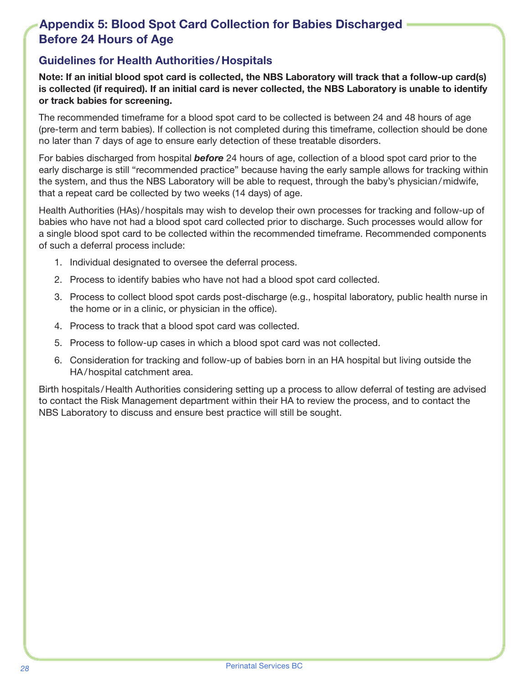## <span id="page-27-1"></span><span id="page-27-0"></span>Before 24 Hours of Age Appendix 5: Blood Spot Card Collection for Babies Discharged

## Guidelines for Health Authorities/Hospitals

Note: If an initial blood spot card is collected, the NBS Laboratory will track that a follow-up card(s) is collected (if required). If an initial card is never collected, the NBS Laboratory is unable to identify or track babies for screening.

The recommended timeframe for a blood spot card to be collected is between 24 and 48 hours of age (pre-term and term babies). If collection is not completed during this timeframe, collection should be done no later than 7 days of age to ensure early detection of these treatable disorders.

For babies discharged from hospital *before* 24 hours of age, collection of a blood spot card prior to the early discharge is still "recommended practice" because having the early sample allows for tracking within the system, and thus the NBS Laboratory will be able to request, through the baby's physician/midwife, that a repeat card be collected by two weeks (14 days) of age.

Health Authorities (HAs)/hospitals may wish to develop their own processes for tracking and follow-up of babies who have not had a blood spot card collected prior to discharge. Such processes would allow for a single blood spot card to be collected within the recommended timeframe. Recommended components of such a deferral process include:

- 1. Individual designated to oversee the deferral process.
- 2. Process to identify babies who have not had a blood spot card collected.
- 3. Process to collect blood spot cards post-discharge (e.g., hospital laboratory, public health nurse in the home or in a clinic, or physician in the office).
- 4. Process to track that a blood spot card was collected.
- 5. Process to follow-up cases in which a blood spot card was not collected.
- 6. Consideration for tracking and follow-up of babies born in an HA hospital but living outside the HA/hospital catchment area.

Birth hospitals/Health Authorities considering setting up a process to allow deferral of testing are advised to contact the Risk Management department within their HA to review the process, and to contact the NBS Laboratory to discuss and ensure best practice will still be sought.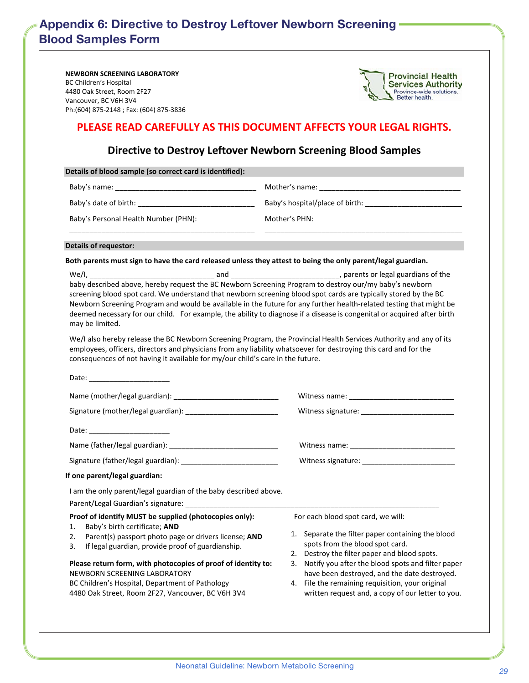## <span id="page-28-1"></span><span id="page-28-0"></span>Blood Samples Form Appendix 6: Directive to Destroy Leftover Newborn Screening

**NEWBORN SCREENING LABORATORY** BC Children's Hospital 4480 Oak Street, Room 2F27 Vancouver, BC V6H 3V4 Ph:(604) 875‐2148 ; Fax: (604) 875‐3836



#### **PLEASE READ CAREFULLY AS THIS DOCUMENT AFFECTS YOUR LEGAL RIGHTS.**

#### **Directive to Destroy Leftover Newborn Screening Blood Samples**

| Details of blood sample (so correct card is identified):                                                                                                                                                                                                                                                                                                                                                                                                                                                |                                                                                                                                                                                                                                                                                                                                                                                                |  |  |  |
|---------------------------------------------------------------------------------------------------------------------------------------------------------------------------------------------------------------------------------------------------------------------------------------------------------------------------------------------------------------------------------------------------------------------------------------------------------------------------------------------------------|------------------------------------------------------------------------------------------------------------------------------------------------------------------------------------------------------------------------------------------------------------------------------------------------------------------------------------------------------------------------------------------------|--|--|--|
|                                                                                                                                                                                                                                                                                                                                                                                                                                                                                                         |                                                                                                                                                                                                                                                                                                                                                                                                |  |  |  |
|                                                                                                                                                                                                                                                                                                                                                                                                                                                                                                         |                                                                                                                                                                                                                                                                                                                                                                                                |  |  |  |
| Baby's Personal Health Number (PHN):                                                                                                                                                                                                                                                                                                                                                                                                                                                                    | Mother's PHN:                                                                                                                                                                                                                                                                                                                                                                                  |  |  |  |
| <b>Details of requestor:</b>                                                                                                                                                                                                                                                                                                                                                                                                                                                                            |                                                                                                                                                                                                                                                                                                                                                                                                |  |  |  |
| Both parents must sign to have the card released unless they attest to being the only parent/legal guardian.                                                                                                                                                                                                                                                                                                                                                                                            |                                                                                                                                                                                                                                                                                                                                                                                                |  |  |  |
| We/l,<br>baby described above, hereby request the BC Newborn Screening Program to destroy our/my baby's newborn<br>screening blood spot card. We understand that newborn screening blood spot cards are typically stored by the BC<br>Newborn Screening Program and would be available in the future for any further health-related testing that might be<br>deemed necessary for our child. For example, the ability to diagnose if a disease is congenital or acquired after birth<br>may be limited. |                                                                                                                                                                                                                                                                                                                                                                                                |  |  |  |
| We/I also hereby release the BC Newborn Screening Program, the Provincial Health Services Authority and any of its<br>employees, officers, directors and physicians from any liability whatsoever for destroying this card and for the<br>consequences of not having it available for my/our child's care in the future.                                                                                                                                                                                |                                                                                                                                                                                                                                                                                                                                                                                                |  |  |  |
| Date: the contract of the contract of the contract of the contract of the contract of the contract of the contract of the contract of the contract of the contract of the contract of the contract of the contract of the cont                                                                                                                                                                                                                                                                          |                                                                                                                                                                                                                                                                                                                                                                                                |  |  |  |
|                                                                                                                                                                                                                                                                                                                                                                                                                                                                                                         |                                                                                                                                                                                                                                                                                                                                                                                                |  |  |  |
|                                                                                                                                                                                                                                                                                                                                                                                                                                                                                                         |                                                                                                                                                                                                                                                                                                                                                                                                |  |  |  |
|                                                                                                                                                                                                                                                                                                                                                                                                                                                                                                         |                                                                                                                                                                                                                                                                                                                                                                                                |  |  |  |
|                                                                                                                                                                                                                                                                                                                                                                                                                                                                                                         |                                                                                                                                                                                                                                                                                                                                                                                                |  |  |  |
|                                                                                                                                                                                                                                                                                                                                                                                                                                                                                                         |                                                                                                                                                                                                                                                                                                                                                                                                |  |  |  |
| If one parent/legal guardian:                                                                                                                                                                                                                                                                                                                                                                                                                                                                           |                                                                                                                                                                                                                                                                                                                                                                                                |  |  |  |
| I am the only parent/legal guardian of the baby described above.<br>Parent/Legal Guardian's signature: ______________                                                                                                                                                                                                                                                                                                                                                                                   |                                                                                                                                                                                                                                                                                                                                                                                                |  |  |  |
| Proof of identify MUST be supplied (photocopies only):<br>Baby's birth certificate; AND<br>1.<br>2.<br>Parent(s) passport photo page or drivers license; AND<br>If legal guardian, provide proof of guardianship.<br>3.<br>Please return form, with photocopies of proof of identity to:<br>NEWBORN SCREENING LABORATORY<br>BC Children's Hospital, Department of Pathology<br>4480 Oak Street, Room 2F27, Vancouver, BC V6H 3V4                                                                        | For each blood spot card, we will:<br>1. Separate the filter paper containing the blood<br>spots from the blood spot card.<br>2. Destroy the filter paper and blood spots.<br>3. Notify you after the blood spots and filter paper<br>have been destroyed, and the date destroyed.<br>File the remaining requisition, your original<br>4.<br>written request and, a copy of our letter to you. |  |  |  |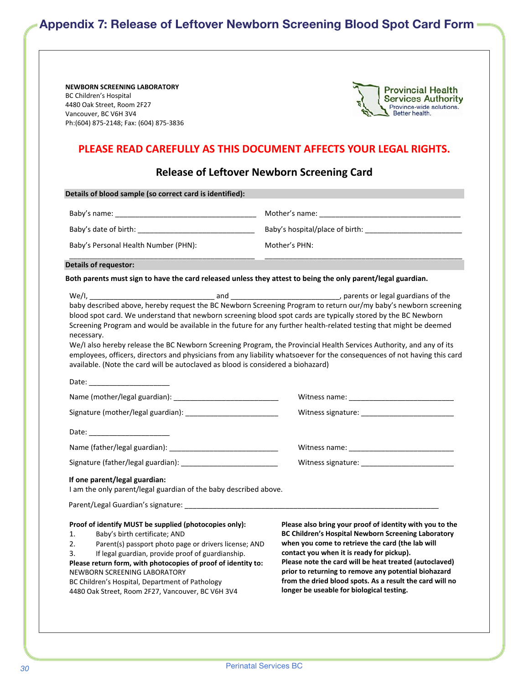## <span id="page-29-1"></span><span id="page-29-0"></span>Appendix 7: Release of Leftover Newborn Screening Blood Spot Card Form

**NEWBORN SCREENING LABORATORY** BC Children's Hospital 4480 Oak Street, Room 2F27 Vancouver, BC V6H 3V4 Ph:(604) 875‐2148; Fax: (604) 875‐3836



#### **PLEASE READ CAREFULLY AS THIS DOCUMENT AFFECTS YOUR LEGAL RIGHTS.**

#### **Release of Leftover Newborn Screening Card**

| Details of blood sample (so correct card is identified):                                                                                                                                                                                                                                                                                                                                                                                                                                                                                                                                                                                                                                                    |                                                                                                                                                                                                                                                                                                                                                                                                                                             |  |  |
|-------------------------------------------------------------------------------------------------------------------------------------------------------------------------------------------------------------------------------------------------------------------------------------------------------------------------------------------------------------------------------------------------------------------------------------------------------------------------------------------------------------------------------------------------------------------------------------------------------------------------------------------------------------------------------------------------------------|---------------------------------------------------------------------------------------------------------------------------------------------------------------------------------------------------------------------------------------------------------------------------------------------------------------------------------------------------------------------------------------------------------------------------------------------|--|--|
|                                                                                                                                                                                                                                                                                                                                                                                                                                                                                                                                                                                                                                                                                                             |                                                                                                                                                                                                                                                                                                                                                                                                                                             |  |  |
|                                                                                                                                                                                                                                                                                                                                                                                                                                                                                                                                                                                                                                                                                                             | Mother's PHN:                                                                                                                                                                                                                                                                                                                                                                                                                               |  |  |
| Baby's Personal Health Number (PHN):                                                                                                                                                                                                                                                                                                                                                                                                                                                                                                                                                                                                                                                                        |                                                                                                                                                                                                                                                                                                                                                                                                                                             |  |  |
| Details of requestor:                                                                                                                                                                                                                                                                                                                                                                                                                                                                                                                                                                                                                                                                                       |                                                                                                                                                                                                                                                                                                                                                                                                                                             |  |  |
| Both parents must sign to have the card released unless they attest to being the only parent/legal guardian.                                                                                                                                                                                                                                                                                                                                                                                                                                                                                                                                                                                                |                                                                                                                                                                                                                                                                                                                                                                                                                                             |  |  |
| baby described above, hereby request the BC Newborn Screening Program to return our/my baby's newborn screening<br>blood spot card. We understand that newborn screening blood spot cards are typically stored by the BC Newborn<br>Screening Program and would be available in the future for any further health-related testing that might be deemed<br>necessary.<br>We/I also hereby release the BC Newborn Screening Program, the Provincial Health Services Authority, and any of its<br>employees, officers, directors and physicians from any liability whatsoever for the consequences of not having this card<br>available. (Note the card will be autoclaved as blood is considered a biohazard) |                                                                                                                                                                                                                                                                                                                                                                                                                                             |  |  |
|                                                                                                                                                                                                                                                                                                                                                                                                                                                                                                                                                                                                                                                                                                             |                                                                                                                                                                                                                                                                                                                                                                                                                                             |  |  |
|                                                                                                                                                                                                                                                                                                                                                                                                                                                                                                                                                                                                                                                                                                             |                                                                                                                                                                                                                                                                                                                                                                                                                                             |  |  |
|                                                                                                                                                                                                                                                                                                                                                                                                                                                                                                                                                                                                                                                                                                             |                                                                                                                                                                                                                                                                                                                                                                                                                                             |  |  |
|                                                                                                                                                                                                                                                                                                                                                                                                                                                                                                                                                                                                                                                                                                             |                                                                                                                                                                                                                                                                                                                                                                                                                                             |  |  |
|                                                                                                                                                                                                                                                                                                                                                                                                                                                                                                                                                                                                                                                                                                             |                                                                                                                                                                                                                                                                                                                                                                                                                                             |  |  |
|                                                                                                                                                                                                                                                                                                                                                                                                                                                                                                                                                                                                                                                                                                             |                                                                                                                                                                                                                                                                                                                                                                                                                                             |  |  |
| If one parent/legal guardian:<br>I am the only parent/legal guardian of the baby described above.                                                                                                                                                                                                                                                                                                                                                                                                                                                                                                                                                                                                           |                                                                                                                                                                                                                                                                                                                                                                                                                                             |  |  |
| Proof of identify MUST be supplied (photocopies only):<br>1.<br>Baby's birth certificate; AND<br>2.<br>Parent(s) passport photo page or drivers license; AND<br>3.<br>If legal guardian, provide proof of guardianship.<br>Please return form, with photocopies of proof of identity to:<br>NEWBORN SCREENING LABORATORY<br>BC Children's Hospital, Department of Pathology<br>4480 Oak Street, Room 2F27, Vancouver, BC V6H 3V4                                                                                                                                                                                                                                                                            | Please also bring your proof of identity with you to the<br>BC Children's Hospital Newborn Screening Laboratory<br>when you come to retrieve the card (the lab will<br>contact you when it is ready for pickup).<br>Please note the card will be heat treated (autoclaved)<br>prior to returning to remove any potential biohazard<br>from the dried blood spots. As a result the card will no<br>longer be useable for biological testing. |  |  |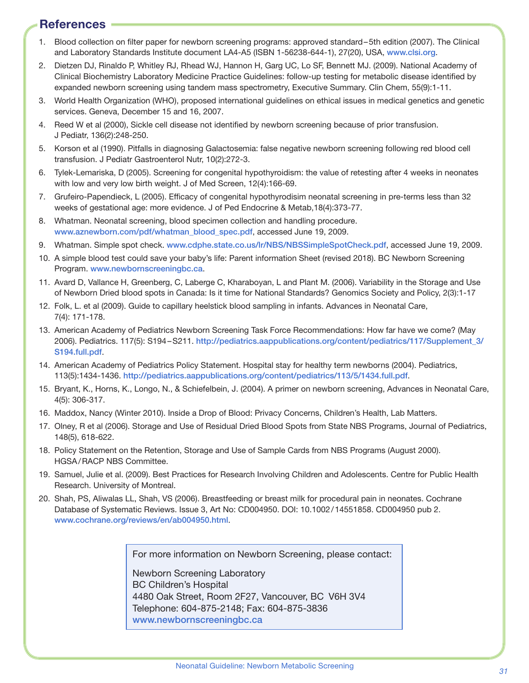## <span id="page-30-0"></span>**References**

- <span id="page-30-1"></span>1. Blood collection on filter paper for newborn screening programs: approved standard–5th edition (2007). The Clinical and Laboratory Standards Institute document LA4-A5 (ISBN 1-56238-644-1), 27(20), USA, [www.clsi.org](http://www.clsi.org).
- <span id="page-30-2"></span>2. Dietzen DJ, Rinaldo P, Whitley RJ, Rhead WJ, Hannon H, Garg UC, Lo SF, Bennett MJ. (2009). National Academy of Clinical Biochemistry Laboratory Medicine Practice Guidelines: follow-up testing for metabolic disease identified by expanded newborn screening using tandem mass spectrometry, Executive Summary. Clin Chem, 55(9):1-11.
- <span id="page-30-3"></span>3. World Health Organization (WHO), proposed international guidelines on ethical issues in medical genetics and genetic services. Geneva, December 15 and 16, 2007.
- <span id="page-30-4"></span>4. Reed W et al (2000), Sickle cell disease not identified by newborn screening because of prior transfusion. J Pediatr, 136(2):248-250.
- <span id="page-30-5"></span>5. Korson et al (1990). Pitfalls in diagnosing Galactosemia: false negative newborn screening following red blood cell transfusion. J Pediatr Gastroenterol Nutr, 10(2):272-3.
- <span id="page-30-6"></span>6. Tylek-Lemariska, D (2005). Screening for congenital hypothyroidism: the value of retesting after 4 weeks in neonates with low and very low birth weight. J of Med Screen, 12(4):166-69.
- <span id="page-30-7"></span>7. Grufeiro-Papendieck, L (2005). Efficacy of congenital hypothyrodisim neonatal screening in pre-terms less than 32 weeks of gestational age: more evidence. J of Ped Endocrine & Metab,18(4):373-77.
- 8. Whatman. Neonatal screening, blood specimen collection and handling procedure. [www.aznewborn.com/pdf/whatman\\_blood\\_spec.pdf](http://www.aznewborn.com/pdf/whatman_blood_spec.pdf), accessed June 19, 2009.
- <span id="page-30-8"></span>9. Whatman. Simple spot check. [www.cdphe.state.co.us/lr/NBS/NBSSimpleSpotCheck.pdf](http://www.cdphe.state.co.us/lr/NBS/NBSSimpleSpotCheck.pdf), accessed June 19, 2009.
- 10. A simple blood test could save your baby's life: Parent information Sheet (revised 2018). BC Newborn Screening Program. [www.newbornscreeningbc.ca](http://www.newbornscreeningbc.ca).
- 11. Avard D, Vallance H, Greenberg, C, Laberge C, Kharaboyan, L and Plant M. (2006). Variability in the Storage and Use of Newborn Dried blood spots in Canada: Is it time for National Standards? Genomics Society and Policy, 2(3):1-17
- 12. Folk, L. et al (2009). Guide to capillary heelstick blood sampling in infants. Advances in Neonatal Care, 7(4): 171-178.
- 13. American Academy of Pediatrics Newborn Screening Task Force Recommendations: How far have we come? (May 2006). Pediatrics. 117(5): S194–S211. [http://pediatrics.aappublications.org/content/pediatrics/117/Supplement\\_3/](http://pediatrics.aappublications.org/content/pediatrics/117/Supplement_3/S194.full.pdf) [S194.full.pdf](http://pediatrics.aappublications.org/content/pediatrics/117/Supplement_3/S194.full.pdf).
- 14. American Academy of Pediatrics Policy Statement. Hospital stay for healthy term newborns (2004). Pediatrics, 113(5):1434-1436. <http://pediatrics.aappublications.org/content/pediatrics/113/5/1434.full.pdf>.
- 15. Bryant, K., Horns, K., Longo, N., & Schiefelbein, J. (2004). A primer on newborn screening, Advances in Neonatal Care, 4(5): 306-317.
- 16. Maddox, Nancy (Winter 2010). Inside a Drop of Blood: Privacy Concerns, Children's Health, Lab Matters.
- 17. Olney, R et al (2006). Storage and Use of Residual Dried Blood Spots from State NBS Programs, Journal of Pediatrics, 148(5), 618-622.
- 18. Policy Statement on the Retention, Storage and Use of Sample Cards from NBS Programs (August 2000). HGSA/RACP NBS Committee.
- 19. Samuel, Julie et al. (2009). Best Practices for Research Involving Children and Adolescents. Centre for Public Health Research. University of Montreal.
- 20. Shah, PS, Aliwalas LL, Shah, VS (2006). Breastfeeding or breast milk for procedural pain in neonates. Cochrane Database of Systematic Reviews. Issue 3, Art No: CD004950. DOI: 10.1002/14551858. CD004950 pub 2. [www.cochrane.org/reviews/en/ab004950.html](http://www.cochrane.org/reviews/en/ab004950.html).

For more information on Newborn Screening, please contact:

Newborn Screening Laboratory BC Children's Hospital 4480 Oak Street, Room 2F27, Vancouver, BC V6H 3V4 Telephone: 604-875-2148; Fax: 604-875-3836 [www.newbornscreeningbc.ca](http://www.newbornscreeningbc.ca)